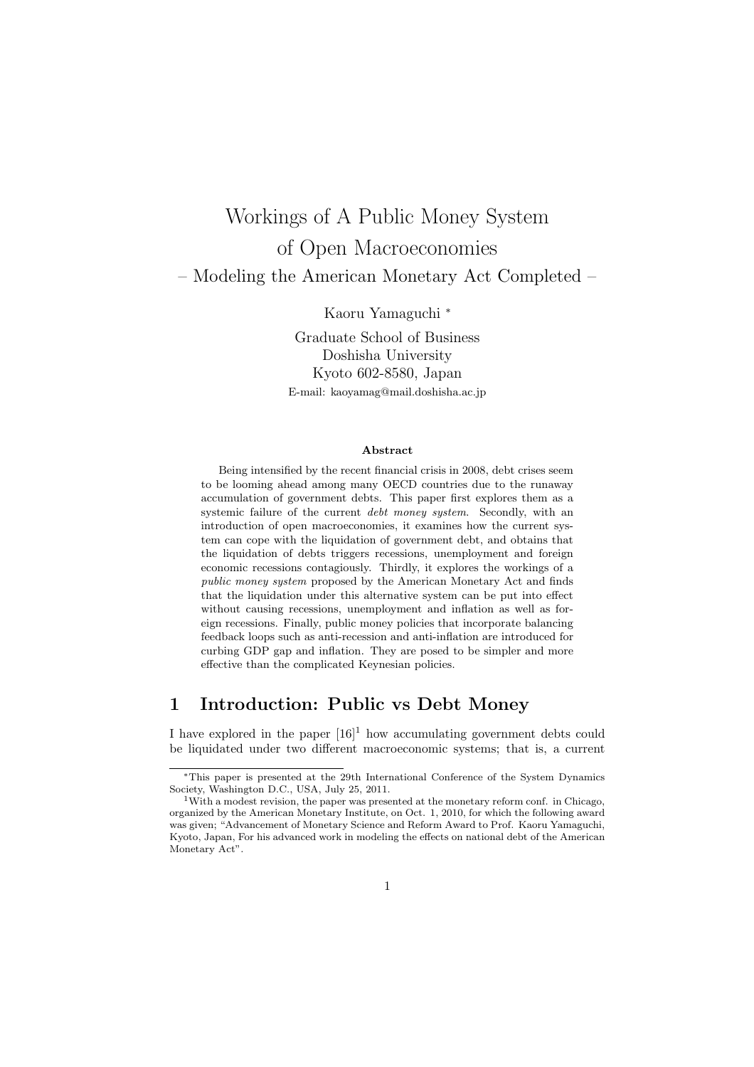# Workings of A Public Money System of Open Macroeconomies – Modeling the American Monetary Act Completed –

Kaoru Yamaguchi *<sup>∗</sup>*

Graduate School of Business Doshisha University Kyoto 602-8580, Japan E-mail: kaoyamag@mail.doshisha.ac.jp

#### **Abstract**

Being intensified by the recent financial crisis in 2008, debt crises seem to be looming ahead among many OECD countries due to the runaway accumulation of government debts. This paper first explores them as a systemic failure of the current *debt money system*. Secondly, with an introduction of open macroeconomies, it examines how the current system can cope with the liquidation of government debt, and obtains that the liquidation of debts triggers recessions, unemployment and foreign economic recessions contagiously. Thirdly, it explores the workings of a *public money system* proposed by the American Monetary Act and finds that the liquidation under this alternative system can be put into effect without causing recessions, unemployment and inflation as well as foreign recessions. Finally, public money policies that incorporate balancing feedback loops such as anti-recession and anti-inflation are introduced for curbing GDP gap and inflation. They are posed to be simpler and more effective than the complicated Keynesian policies.

## **1 Introduction: Public vs Debt Money**

I have explored in the paper  $[16]^1$  how accumulating government debts could be liquidated under two different macroeconomic systems; that is, a current

*<sup>∗</sup>*This paper is presented at the 29th International Conference of the System Dynamics Society, Washington D.C., USA, July 25, 2011.

<sup>&</sup>lt;sup>1</sup>With a modest revision, the paper was presented at the monetary reform conf. in Chicago, organized by the American Monetary Institute, on Oct. 1, 2010, for which the following award was given; "Advancement of Monetary Science and Reform Award to Prof. Kaoru Yamaguchi, Kyoto, Japan, For his advanced work in modeling the effects on national debt of the American Monetary Act".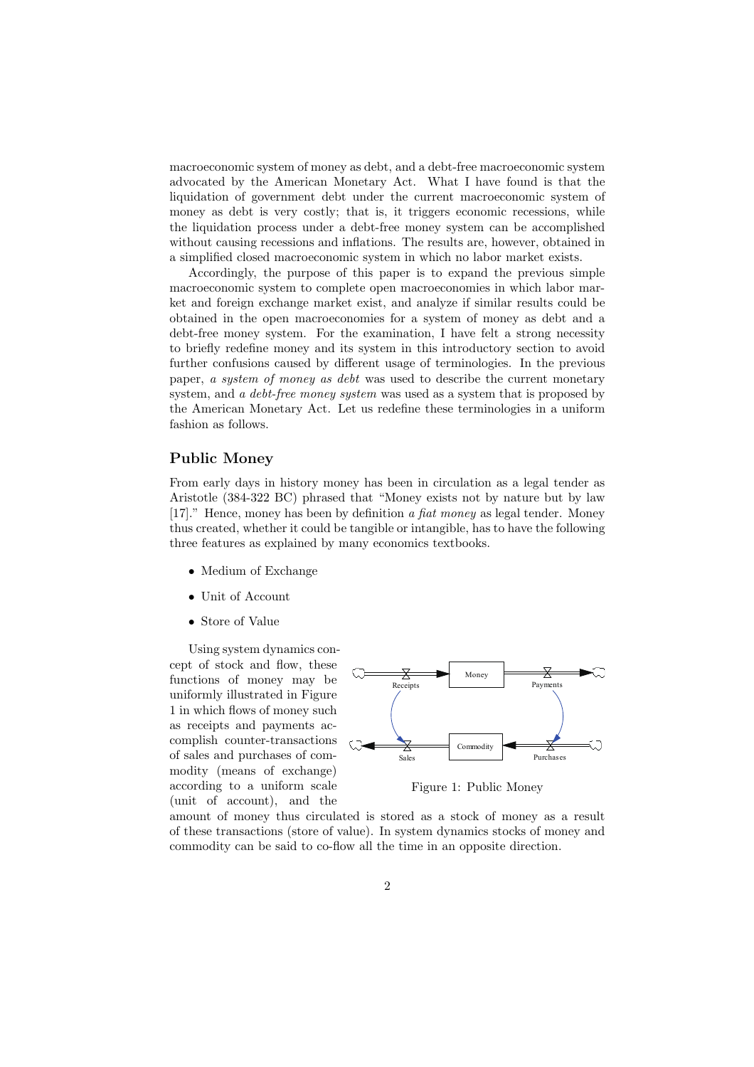macroeconomic system of money as debt, and a debt-free macroeconomic system advocated by the American Monetary Act. What I have found is that the liquidation of government debt under the current macroeconomic system of money as debt is very costly; that is, it triggers economic recessions, while the liquidation process under a debt-free money system can be accomplished without causing recessions and inflations. The results are, however, obtained in a simplified closed macroeconomic system in which no labor market exists.

Accordingly, the purpose of this paper is to expand the previous simple macroeconomic system to complete open macroeconomies in which labor market and foreign exchange market exist, and analyze if similar results could be obtained in the open macroeconomies for a system of money as debt and a debt-free money system. For the examination, I have felt a strong necessity to briefly redefine money and its system in this introductory section to avoid further confusions caused by different usage of terminologies. In the previous paper, *a system of money as debt* was used to describe the current monetary system, and *a debt-free money system* was used as a system that is proposed by the American Monetary Act. Let us redefine these terminologies in a uniform fashion as follows.

#### **Public Money**

From early days in history money has been in circulation as a legal tender as Aristotle (384-322 BC) phrased that "Money exists not by nature but by law [17]." Hence, money has been by definition *a fiat money* as legal tender. Money thus created, whether it could be tangible or intangible, has to have the following three features as explained by many economics textbooks.

- *•* Medium of Exchange
- *•* Unit of Account
- *•* Store of Value

Using system dynamics concept of stock and flow, these functions of money may be uniformly illustrated in Figure 1 in which flows of money such as receipts and payments accomplish counter-transactions of sales and purchases of commodity (means of exchange) according to a uniform scale (unit of account), and the



Figure 1: Public Money

amount of money thus circulated is stored as a stock of money as a result of these transactions (store of value). In system dynamics stocks of money and commodity can be said to co-flow all the time in an opposite direction.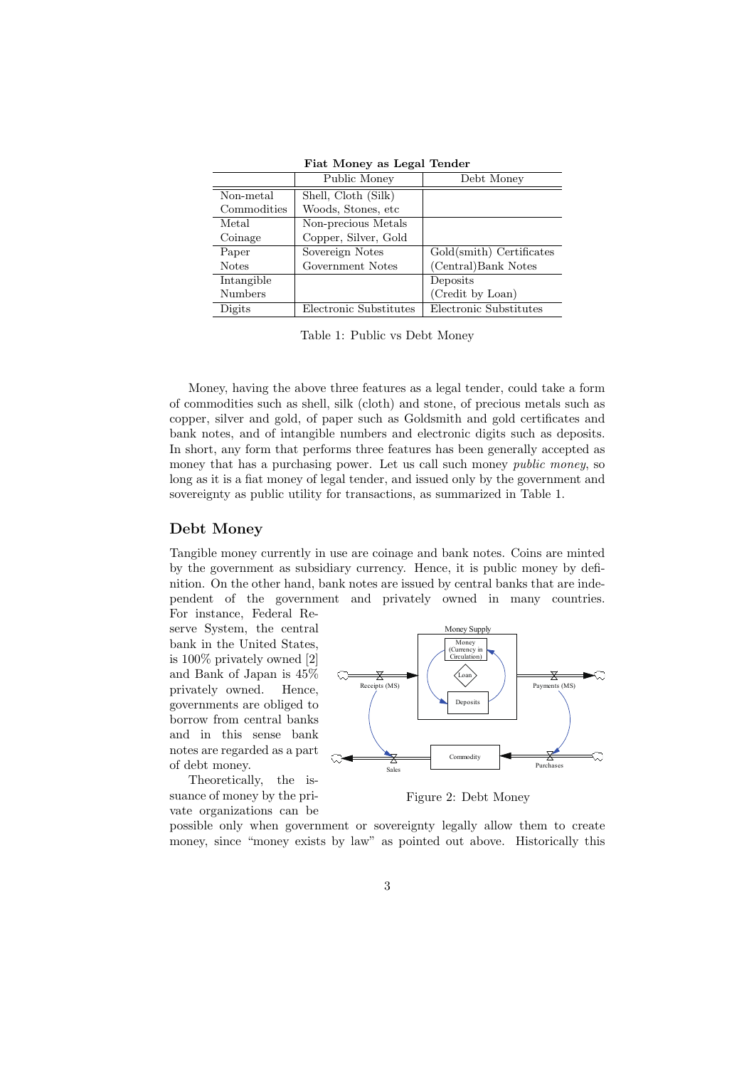|                | Public Money           | Debt Money               |
|----------------|------------------------|--------------------------|
| Non-metal      | Shell, Cloth (Silk)    |                          |
| Commodities    | Woods, Stones, etc     |                          |
| Metal          | Non-precious Metals    |                          |
| Coinage        | Copper, Silver, Gold   |                          |
| Paper          | Sovereign Notes        | Gold(smith) Certificates |
| <b>Notes</b>   | Government Notes       | (Central)Bank Notes      |
| Intangible     |                        | Deposits                 |
| <b>Numbers</b> |                        | (Credit by Loan)         |
| Digits         | Electronic Substitutes | Electronic Substitutes   |

**Fiat Money as Legal Tender**

Table 1: Public vs Debt Money

Money, having the above three features as a legal tender, could take a form of commodities such as shell, silk (cloth) and stone, of precious metals such as copper, silver and gold, of paper such as Goldsmith and gold certificates and bank notes, and of intangible numbers and electronic digits such as deposits. In short, any form that performs three features has been generally accepted as money that has a purchasing power. Let us call such money *public money*, so long as it is a fiat money of legal tender, and issued only by the government and sovereignty as public utility for transactions, as summarized in Table 1.

#### **Debt Money**

Tangible money currently in use are coinage and bank notes. Coins are minted by the government as subsidiary currency. Hence, it is public money by definition. On the other hand, bank notes are issued by central banks that are independent of the government and privately owned in many countries. For instance, Federal Re-

serve System, the central bank in the United States, is 100% privately owned [2] and Bank of Japan is 45% privately owned. Hence, governments are obliged to borrow from central banks and in this sense bank notes are regarded as a part of debt money.

Theoretically, the issuance of money by the private organizations can be



Figure 2: Debt Money

possible only when government or sovereignty legally allow them to create money, since "money exists by law" as pointed out above. Historically this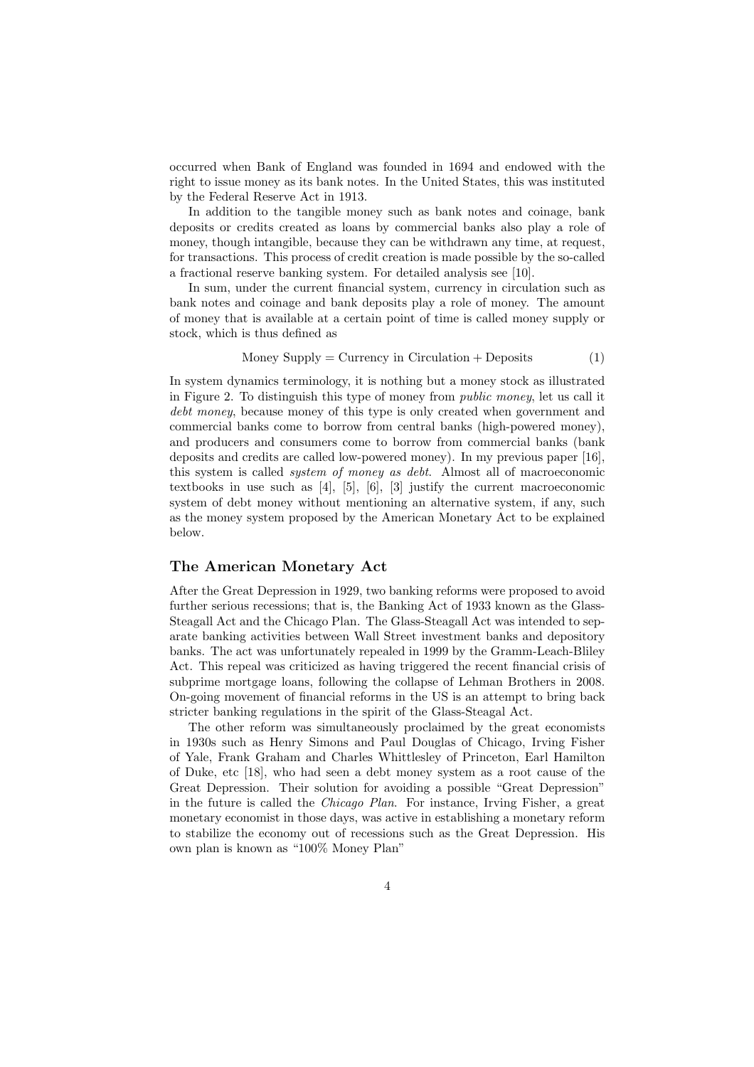occurred when Bank of England was founded in 1694 and endowed with the right to issue money as its bank notes. In the United States, this was instituted by the Federal Reserve Act in 1913.

In addition to the tangible money such as bank notes and coinage, bank deposits or credits created as loans by commercial banks also play a role of money, though intangible, because they can be withdrawn any time, at request, for transactions. This process of credit creation is made possible by the so-called a fractional reserve banking system. For detailed analysis see [10].

In sum, under the current financial system, currency in circulation such as bank notes and coinage and bank deposits play a role of money. The amount of money that is available at a certain point of time is called money supply or stock, which is thus defined as

$$
Money Supply = Currency in Circulation + Deposits
$$
 (1)

In system dynamics terminology, it is nothing but a money stock as illustrated in Figure 2. To distinguish this type of money from *public money*, let us call it *debt money*, because money of this type is only created when government and commercial banks come to borrow from central banks (high-powered money), and producers and consumers come to borrow from commercial banks (bank deposits and credits are called low-powered money). In my previous paper [16], this system is called *system of money as debt*. Almost all of macroeconomic textbooks in use such as [4], [5], [6], [3] justify the current macroeconomic system of debt money without mentioning an alternative system, if any, such as the money system proposed by the American Monetary Act to be explained below.

#### **The American Monetary Act**

After the Great Depression in 1929, two banking reforms were proposed to avoid further serious recessions; that is, the Banking Act of 1933 known as the Glass-Steagall Act and the Chicago Plan. The Glass-Steagall Act was intended to separate banking activities between Wall Street investment banks and depository banks. The act was unfortunately repealed in 1999 by the Gramm-Leach-Bliley Act. This repeal was criticized as having triggered the recent financial crisis of subprime mortgage loans, following the collapse of Lehman Brothers in 2008. On-going movement of financial reforms in the US is an attempt to bring back stricter banking regulations in the spirit of the Glass-Steagal Act.

The other reform was simultaneously proclaimed by the great economists in 1930s such as Henry Simons and Paul Douglas of Chicago, Irving Fisher of Yale, Frank Graham and Charles Whittlesley of Princeton, Earl Hamilton of Duke, etc [18], who had seen a debt money system as a root cause of the Great Depression. Their solution for avoiding a possible "Great Depression" in the future is called the *Chicago Plan*. For instance, Irving Fisher, a great monetary economist in those days, was active in establishing a monetary reform to stabilize the economy out of recessions such as the Great Depression. His own plan is known as "100% Money Plan"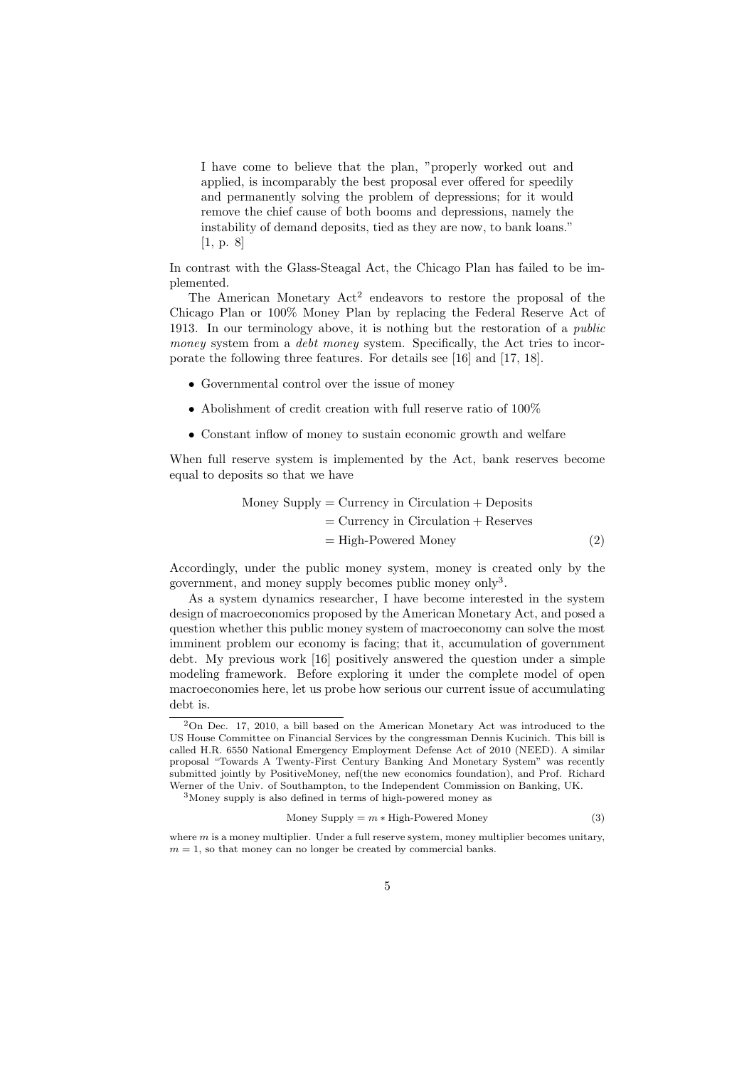I have come to believe that the plan, "properly worked out and applied, is incomparably the best proposal ever offered for speedily and permanently solving the problem of depressions; for it would remove the chief cause of both booms and depressions, namely the instability of demand deposits, tied as they are now, to bank loans." [1, p. 8]

In contrast with the Glass-Steagal Act, the Chicago Plan has failed to be implemented.

The American Monetary Act<sup>2</sup> endeavors to restore the proposal of the Chicago Plan or 100% Money Plan by replacing the Federal Reserve Act of 1913. In our terminology above, it is nothing but the restoration of a *public money* system from a *debt money* system. Specifically, the Act tries to incorporate the following three features. For details see [16] and [17, 18].

- *•* Governmental control over the issue of money
- Abolishment of credit creation with full reserve ratio of  $100\%$
- *•* Constant inflow of money to sustain economic growth and welfare

When full reserve system is implemented by the Act, bank reserves become equal to deposits so that we have

Money Supply = Currency in Circulation + Deposits

\n
$$
= \text{Currentcy in Circulation} + \text{Reserves}
$$
\n
$$
= \text{High-Powered Money} \tag{2}
$$

Accordingly, under the public money system, money is created only by the government, and money supply becomes public money only<sup>3</sup>.

As a system dynamics researcher, I have become interested in the system design of macroeconomics proposed by the American Monetary Act, and posed a question whether this public money system of macroeconomy can solve the most imminent problem our economy is facing; that it, accumulation of government debt. My previous work [16] positively answered the question under a simple modeling framework. Before exploring it under the complete model of open macroeconomies here, let us probe how serious our current issue of accumulating debt is.

$$
Money Supply = m * High-Powered Money
$$
\n(3)

<sup>2</sup>On Dec. 17, 2010, a bill based on the American Monetary Act was introduced to the US House Committee on Financial Services by the congressman Dennis Kucinich. This bill is called H.R. 6550 National Emergency Employment Defense Act of 2010 (NEED). A similar proposal "Towards A Twenty-First Century Banking And Monetary System" was recently submitted jointly by PositiveMoney, nef(the new economics foundation), and Prof. Richard Werner of the Univ. of Southampton, to the Independent Commission on Banking, UK.

<sup>3</sup>Money supply is also defined in terms of high-powered money as

where  $m$  is a money multiplier. Under a full reserve system, money multiplier becomes unitary,  $m = 1$ , so that money can no longer be created by commercial banks.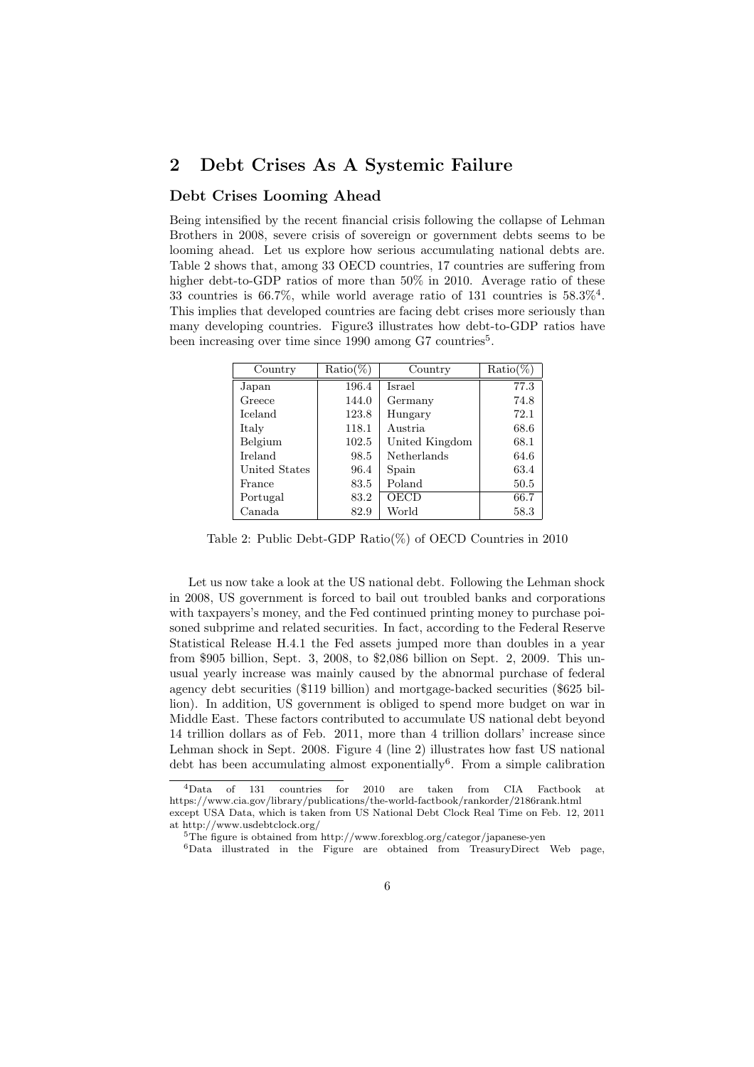## **2 Debt Crises As A Systemic Failure**

#### **Debt Crises Looming Ahead**

Being intensified by the recent financial crisis following the collapse of Lehman Brothers in 2008, severe crisis of sovereign or government debts seems to be looming ahead. Let us explore how serious accumulating national debts are. Table 2 shows that, among 33 OECD countries, 17 countries are suffering from higher debt-to-GDP ratios of more than 50% in 2010. Average ratio of these 33 countries is 66.7%, while world average ratio of 131 countries is  $58.3\%$ <sup>4</sup>. This implies that developed countries are facing debt crises more seriously than many developing countries. Figure3 illustrates how debt-to-GDP ratios have been increasing over time since 1990 among G7 countries<sup>5</sup>.

| Country        | $Ratio(\%)$ | Country        | $Ratio(\%)$ |
|----------------|-------------|----------------|-------------|
| Japan          | 196.4       | Israel         | 77.3        |
| Greece         | 144.0       | Germany        | 74.8        |
| <b>Iceland</b> | 123.8       | Hungary        | 72.1        |
| Italy          | 118.1       | Austria        | 68.6        |
| Belgium        | 102.5       | United Kingdom | 68.1        |
| <b>Ireland</b> | 98.5        | Netherlands    | 64.6        |
| United States  | 96.4        | Spain          | 63.4        |
| France         | 83.5        | Poland         | 50.5        |
| Portugal       | 83.2        | OECD           | 66.7        |
| Canada         | 82.9        | World          | 58.3        |

Table 2: Public Debt-GDP Ratio(%) of OECD Countries in 2010

Let us now take a look at the US national debt. Following the Lehman shock in 2008, US government is forced to bail out troubled banks and corporations with taxpayers's money, and the Fed continued printing money to purchase poisoned subprime and related securities. In fact, according to the Federal Reserve Statistical Release H.4.1 the Fed assets jumped more than doubles in a year from \$905 billion, Sept. 3, 2008, to \$2,086 billion on Sept. 2, 2009. This unusual yearly increase was mainly caused by the abnormal purchase of federal agency debt securities (\$119 billion) and mortgage-backed securities (\$625 billion). In addition, US government is obliged to spend more budget on war in Middle East. These factors contributed to accumulate US national debt beyond 14 trillion dollars as of Feb. 2011, more than 4 trillion dollars' increase since Lehman shock in Sept. 2008. Figure 4 (line 2) illustrates how fast US national debt has been accumulating almost exponentially<sup>6</sup>. From a simple calibration

<sup>4</sup>Data of 131 countries for 2010 are taken from CIA Factbook at https://www.cia.gov/library/publications/the-world-factbook/rankorder/2186rank.html except USA Data, which is taken from US National Debt Clock Real Time on Feb. 12, 2011 at http://www.usdebtclock.org/

<sup>5</sup>The figure is obtained from http://www.forexblog.org/categor/japanese-yen

<sup>6</sup>Data illustrated in the Figure are obtained from TreasuryDirect Web page,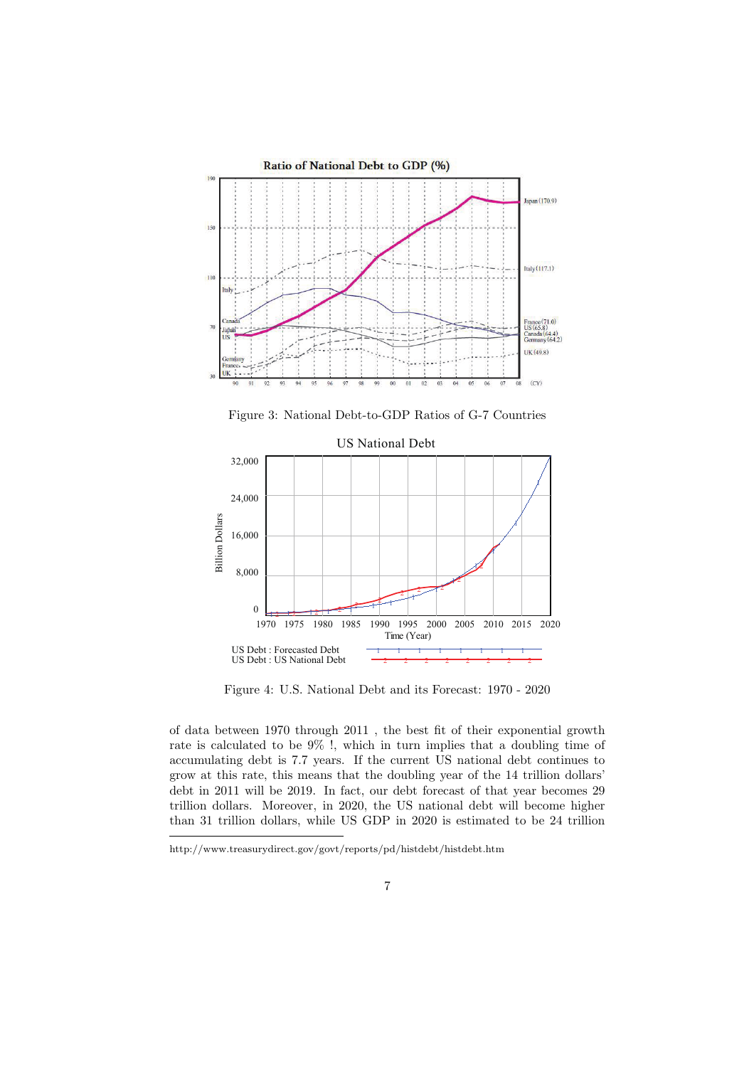

Figure 3: National Debt-to-GDP Ratios of G-7 Countries



Figure 4: U.S. National Debt and its Forecast: 1970 - 2020

of data between 1970 through 2011 , the best fit of their exponential growth rate is calculated to be 9% !, which in turn implies that a doubling time of accumulating debt is 7.7 years. If the current US national debt continues to grow at this rate, this means that the doubling year of the 14 trillion dollars' debt in 2011 will be 2019. In fact, our debt forecast of that year becomes 29 trillion dollars. Moreover, in 2020, the US national debt will become higher than 31 trillion dollars, while US GDP in 2020 is estimated to be 24 trillion

http://www.treasurydirect.gov/govt/reports/pd/histdebt/histdebt.htm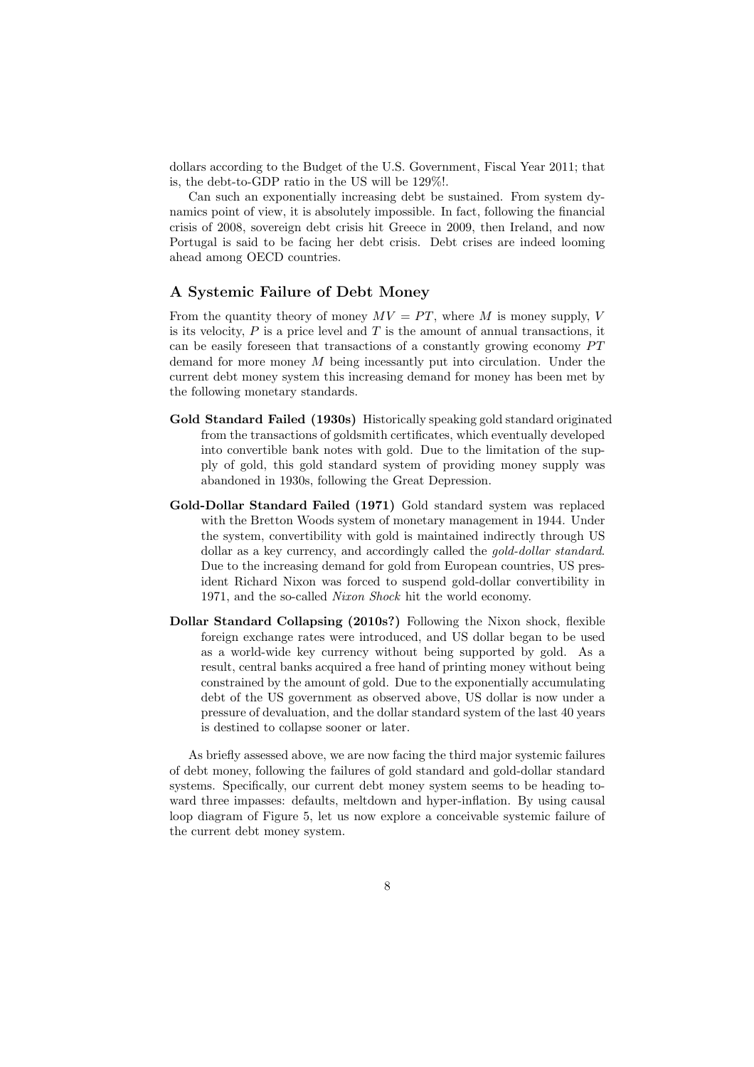dollars according to the Budget of the U.S. Government, Fiscal Year 2011; that is, the debt-to-GDP ratio in the US will be 129%!.

Can such an exponentially increasing debt be sustained. From system dynamics point of view, it is absolutely impossible. In fact, following the financial crisis of 2008, sovereign debt crisis hit Greece in 2009, then Ireland, and now Portugal is said to be facing her debt crisis. Debt crises are indeed looming ahead among OECD countries.

#### **A Systemic Failure of Debt Money**

From the quantity theory of money  $MV = PT$ , where M is money supply, V is its velocity, *P* is a price level and *T* is the amount of annual transactions, it can be easily foreseen that transactions of a constantly growing economy  $PT$ demand for more money *M* being incessantly put into circulation. Under the current debt money system this increasing demand for money has been met by the following monetary standards.

- **Gold Standard Failed (1930s)** Historically speaking gold standard originated from the transactions of goldsmith certificates, which eventually developed into convertible bank notes with gold. Due to the limitation of the supply of gold, this gold standard system of providing money supply was abandoned in 1930s, following the Great Depression.
- **Gold-Dollar Standard Failed (1971)** Gold standard system was replaced with the Bretton Woods system of monetary management in 1944. Under the system, convertibility with gold is maintained indirectly through US dollar as a key currency, and accordingly called the *gold-dollar standard*. Due to the increasing demand for gold from European countries, US president Richard Nixon was forced to suspend gold-dollar convertibility in 1971, and the so-called *Nixon Shock* hit the world economy.
- **Dollar Standard Collapsing (2010s?)** Following the Nixon shock, flexible foreign exchange rates were introduced, and US dollar began to be used as a world-wide key currency without being supported by gold. As a result, central banks acquired a free hand of printing money without being constrained by the amount of gold. Due to the exponentially accumulating debt of the US government as observed above, US dollar is now under a pressure of devaluation, and the dollar standard system of the last 40 years is destined to collapse sooner or later.

As briefly assessed above, we are now facing the third major systemic failures of debt money, following the failures of gold standard and gold-dollar standard systems. Specifically, our current debt money system seems to be heading toward three impasses: defaults, meltdown and hyper-inflation. By using causal loop diagram of Figure 5, let us now explore a conceivable systemic failure of the current debt money system.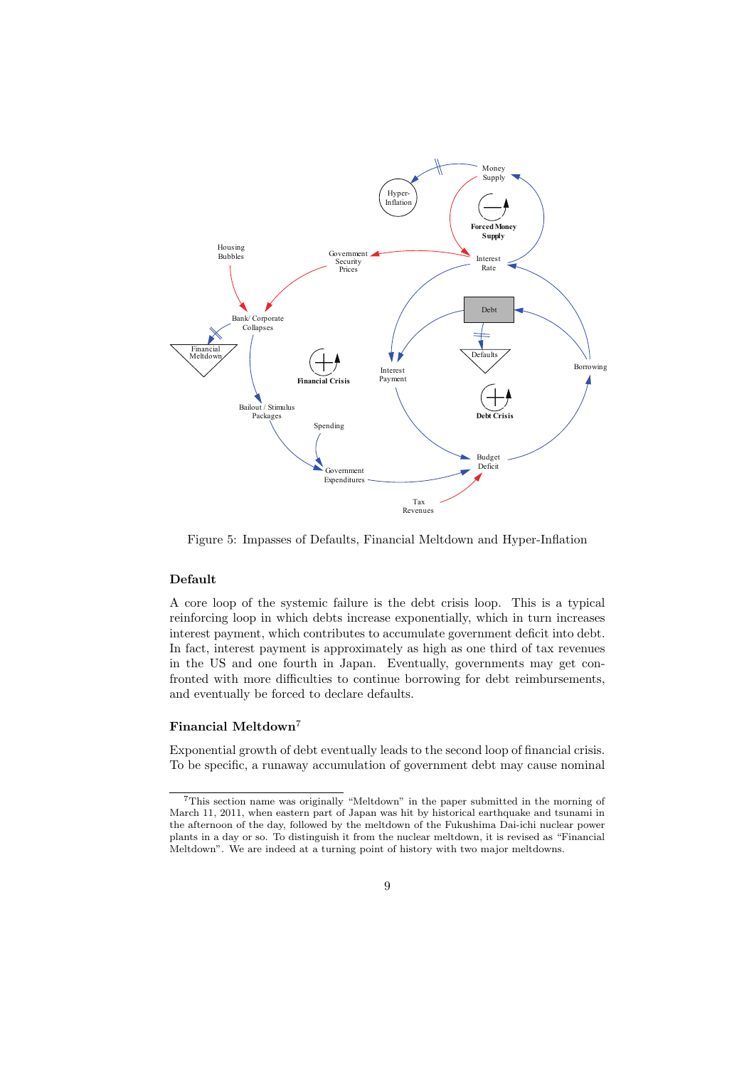

Figure 5: Impasses of Defaults, Financial Meltdown and Hyper-Inflation

#### **Default**

A core loop of the systemic failure is the debt crisis loop. This is a typical reinforcing loop in which debts increase exponentially, which in turn increases interest payment, which contributes to accumulate government deficit into debt. In fact, interest payment is approximately as high as one third of tax revenues in the US and one fourth in Japan. Eventually, governments may get confronted with more difficulties to continue borrowing for debt reimbursements, and eventually be forced to declare defaults.

#### **Financial Meltdown**<sup>7</sup>

Exponential growth of debt eventually leads to the second loop of financial crisis. To be specific, a runaway accumulation of government debt may cause nominal

<sup>7</sup>This section name was originally "Meltdown" in the paper submitted in the morning of March 11, 2011, when eastern part of Japan was hit by historical earthquake and tsunami in the afternoon of the day, followed by the meltdown of the Fukushima Dai-ichi nuclear power plants in a day or so. To distinguish it from the nuclear meltdown, it is revised as "Financial Meltdown". We are indeed at a turning point of history with two major meltdowns.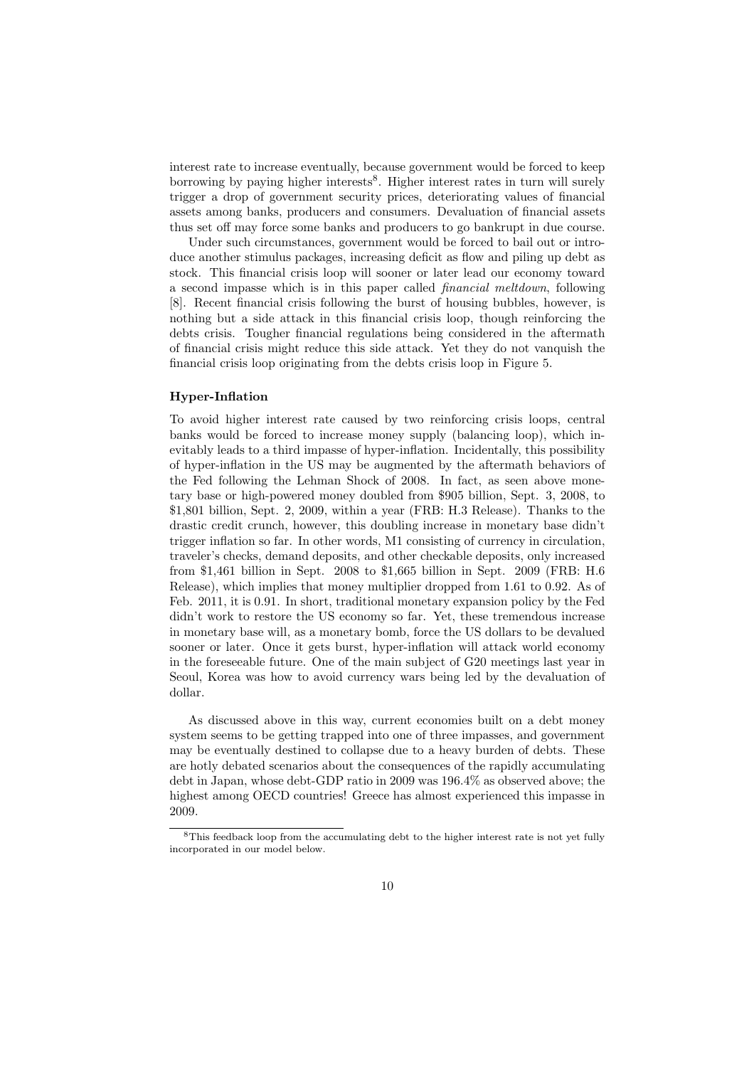interest rate to increase eventually, because government would be forced to keep borrowing by paying higher interests<sup>8</sup>. Higher interest rates in turn will surely trigger a drop of government security prices, deteriorating values of financial assets among banks, producers and consumers. Devaluation of financial assets thus set off may force some banks and producers to go bankrupt in due course.

Under such circumstances, government would be forced to bail out or introduce another stimulus packages, increasing deficit as flow and piling up debt as stock. This financial crisis loop will sooner or later lead our economy toward a second impasse which is in this paper called *financial meltdown*, following [8]. Recent financial crisis following the burst of housing bubbles, however, is nothing but a side attack in this financial crisis loop, though reinforcing the debts crisis. Tougher financial regulations being considered in the aftermath of financial crisis might reduce this side attack. Yet they do not vanquish the financial crisis loop originating from the debts crisis loop in Figure 5.

#### **Hyper-Inflation**

To avoid higher interest rate caused by two reinforcing crisis loops, central banks would be forced to increase money supply (balancing loop), which inevitably leads to a third impasse of hyper-inflation. Incidentally, this possibility of hyper-inflation in the US may be augmented by the aftermath behaviors of the Fed following the Lehman Shock of 2008. In fact, as seen above monetary base or high-powered money doubled from \$905 billion, Sept. 3, 2008, to \$1,801 billion, Sept. 2, 2009, within a year (FRB: H.3 Release). Thanks to the drastic credit crunch, however, this doubling increase in monetary base didn't trigger inflation so far. In other words, M1 consisting of currency in circulation, traveler's checks, demand deposits, and other checkable deposits, only increased from \$1,461 billion in Sept. 2008 to \$1,665 billion in Sept. 2009 (FRB: H.6 Release), which implies that money multiplier dropped from 1.61 to 0.92. As of Feb. 2011, it is 0.91. In short, traditional monetary expansion policy by the Fed didn't work to restore the US economy so far. Yet, these tremendous increase in monetary base will, as a monetary bomb, force the US dollars to be devalued sooner or later. Once it gets burst, hyper-inflation will attack world economy in the foreseeable future. One of the main subject of G20 meetings last year in Seoul, Korea was how to avoid currency wars being led by the devaluation of dollar.

As discussed above in this way, current economies built on a debt money system seems to be getting trapped into one of three impasses, and government may be eventually destined to collapse due to a heavy burden of debts. These are hotly debated scenarios about the consequences of the rapidly accumulating debt in Japan, whose debt-GDP ratio in 2009 was 196.4% as observed above; the highest among OECD countries! Greece has almost experienced this impasse in 2009.

 ${}^{8}{\rm This}$  feedback loop from the accumulating debt to the higher interest rate is not yet fully incorporated in our model below.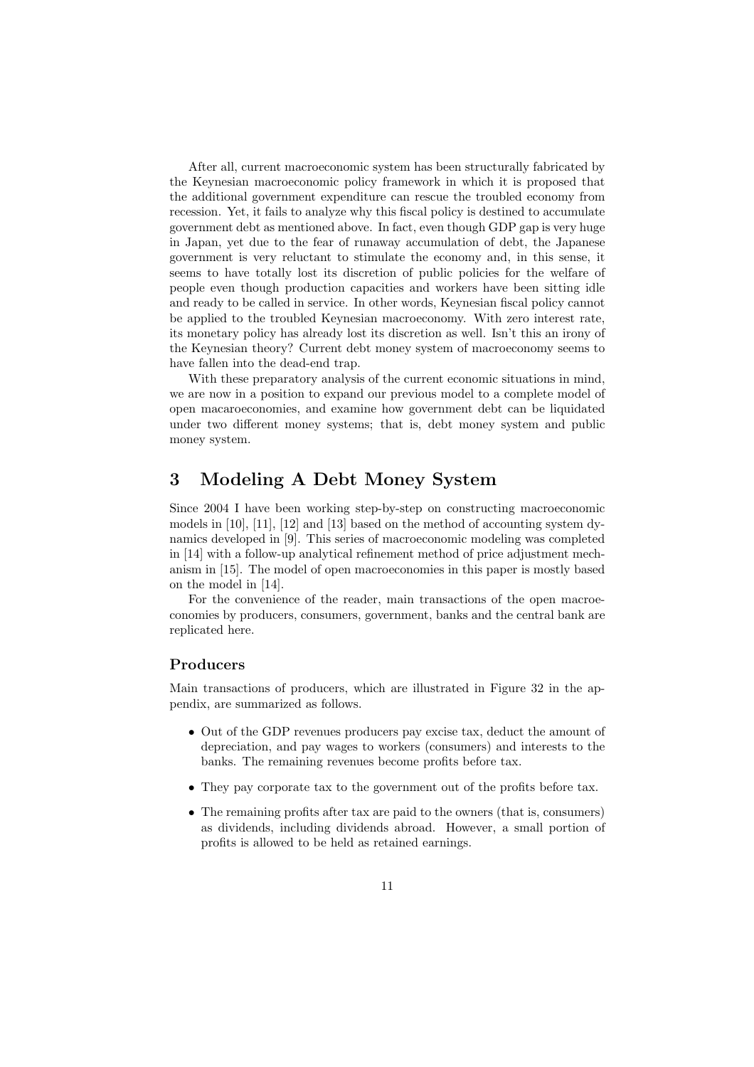After all, current macroeconomic system has been structurally fabricated by the Keynesian macroeconomic policy framework in which it is proposed that the additional government expenditure can rescue the troubled economy from recession. Yet, it fails to analyze why this fiscal policy is destined to accumulate government debt as mentioned above. In fact, even though GDP gap is very huge in Japan, yet due to the fear of runaway accumulation of debt, the Japanese government is very reluctant to stimulate the economy and, in this sense, it seems to have totally lost its discretion of public policies for the welfare of people even though production capacities and workers have been sitting idle and ready to be called in service. In other words, Keynesian fiscal policy cannot be applied to the troubled Keynesian macroeconomy. With zero interest rate, its monetary policy has already lost its discretion as well. Isn't this an irony of the Keynesian theory? Current debt money system of macroeconomy seems to have fallen into the dead-end trap.

With these preparatory analysis of the current economic situations in mind, we are now in a position to expand our previous model to a complete model of open macaroeconomies, and examine how government debt can be liquidated under two different money systems; that is, debt money system and public money system.

## **3 Modeling A Debt Money System**

Since 2004 I have been working step-by-step on constructing macroeconomic models in [10], [11], [12] and [13] based on the method of accounting system dynamics developed in [9]. This series of macroeconomic modeling was completed in [14] with a follow-up analytical refinement method of price adjustment mechanism in [15]. The model of open macroeconomies in this paper is mostly based on the model in [14].

For the convenience of the reader, main transactions of the open macroeconomies by producers, consumers, government, banks and the central bank are replicated here.

#### **Producers**

Main transactions of producers, which are illustrated in Figure 32 in the appendix, are summarized as follows.

- Out of the GDP revenues producers pay excise tax, deduct the amount of depreciation, and pay wages to workers (consumers) and interests to the banks. The remaining revenues become profits before tax.
- They pay corporate tax to the government out of the profits before tax.
- *•* The remaining profits after tax are paid to the owners (that is, consumers) as dividends, including dividends abroad. However, a small portion of profits is allowed to be held as retained earnings.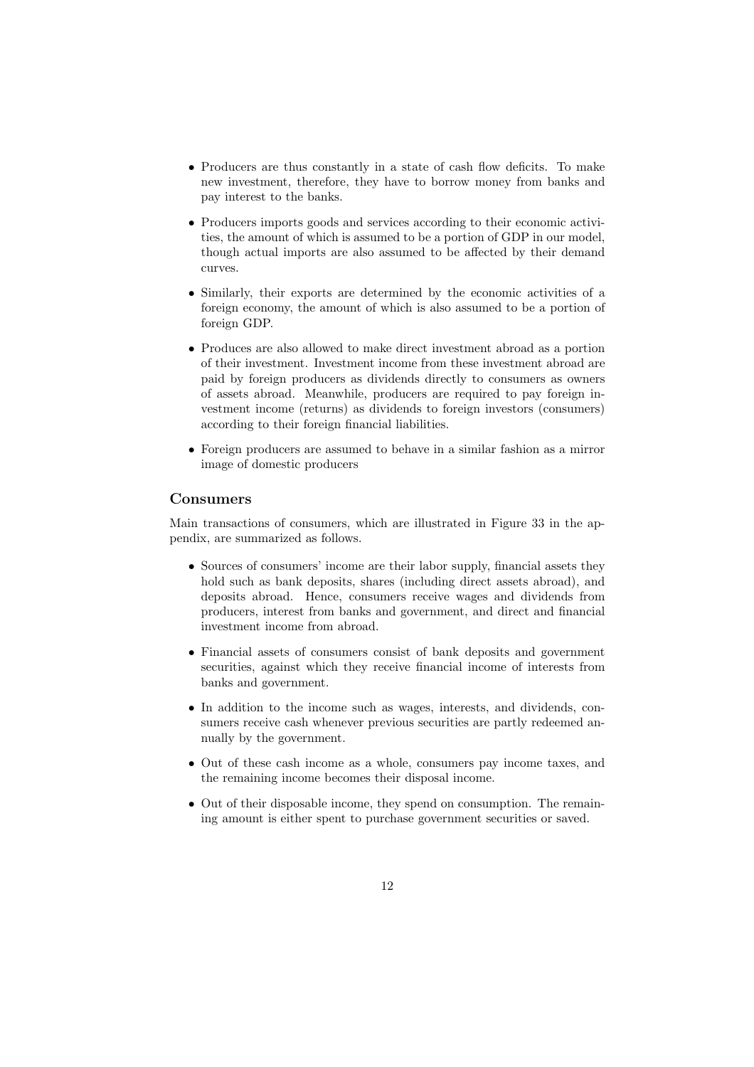- Producers are thus constantly in a state of cash flow deficits. To make new investment, therefore, they have to borrow money from banks and pay interest to the banks.
- *•* Producers imports goods and services according to their economic activities, the amount of which is assumed to be a portion of GDP in our model, though actual imports are also assumed to be affected by their demand curves.
- *•* Similarly, their exports are determined by the economic activities of a foreign economy, the amount of which is also assumed to be a portion of foreign GDP.
- Produces are also allowed to make direct investment abroad as a portion of their investment. Investment income from these investment abroad are paid by foreign producers as dividends directly to consumers as owners of assets abroad. Meanwhile, producers are required to pay foreign investment income (returns) as dividends to foreign investors (consumers) according to their foreign financial liabilities.
- *•* Foreign producers are assumed to behave in a similar fashion as a mirror image of domestic producers

#### **Consumers**

Main transactions of consumers, which are illustrated in Figure 33 in the appendix, are summarized as follows.

- Sources of consumers' income are their labor supply, financial assets they hold such as bank deposits, shares (including direct assets abroad), and deposits abroad. Hence, consumers receive wages and dividends from producers, interest from banks and government, and direct and financial investment income from abroad.
- *•* Financial assets of consumers consist of bank deposits and government securities, against which they receive financial income of interests from banks and government.
- In addition to the income such as wages, interests, and dividends, consumers receive cash whenever previous securities are partly redeemed annually by the government.
- *•* Out of these cash income as a whole, consumers pay income taxes, and the remaining income becomes their disposal income.
- Out of their disposable income, they spend on consumption. The remaining amount is either spent to purchase government securities or saved.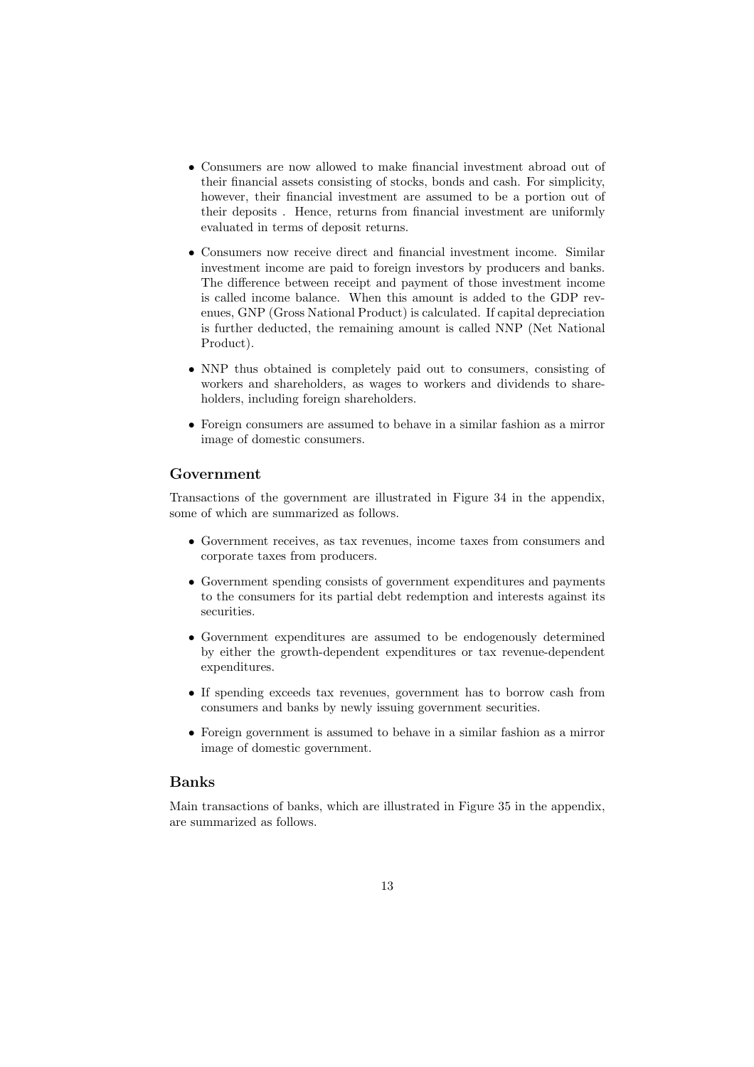- *•* Consumers are now allowed to make financial investment abroad out of their financial assets consisting of stocks, bonds and cash. For simplicity, however, their financial investment are assumed to be a portion out of their deposits . Hence, returns from financial investment are uniformly evaluated in terms of deposit returns.
- Consumers now receive direct and financial investment income. Similar investment income are paid to foreign investors by producers and banks. The difference between receipt and payment of those investment income is called income balance. When this amount is added to the GDP revenues, GNP (Gross National Product) is calculated. If capital depreciation is further deducted, the remaining amount is called NNP (Net National Product).
- *•* NNP thus obtained is completely paid out to consumers, consisting of workers and shareholders, as wages to workers and dividends to shareholders, including foreign shareholders.
- *•* Foreign consumers are assumed to behave in a similar fashion as a mirror image of domestic consumers.

#### **Government**

Transactions of the government are illustrated in Figure 34 in the appendix, some of which are summarized as follows.

- *•* Government receives, as tax revenues, income taxes from consumers and corporate taxes from producers.
- *•* Government spending consists of government expenditures and payments to the consumers for its partial debt redemption and interests against its securities.
- *•* Government expenditures are assumed to be endogenously determined by either the growth-dependent expenditures or tax revenue-dependent expenditures.
- *•* If spending exceeds tax revenues, government has to borrow cash from consumers and banks by newly issuing government securities.
- *•* Foreign government is assumed to behave in a similar fashion as a mirror image of domestic government.

#### **Banks**

Main transactions of banks, which are illustrated in Figure 35 in the appendix, are summarized as follows.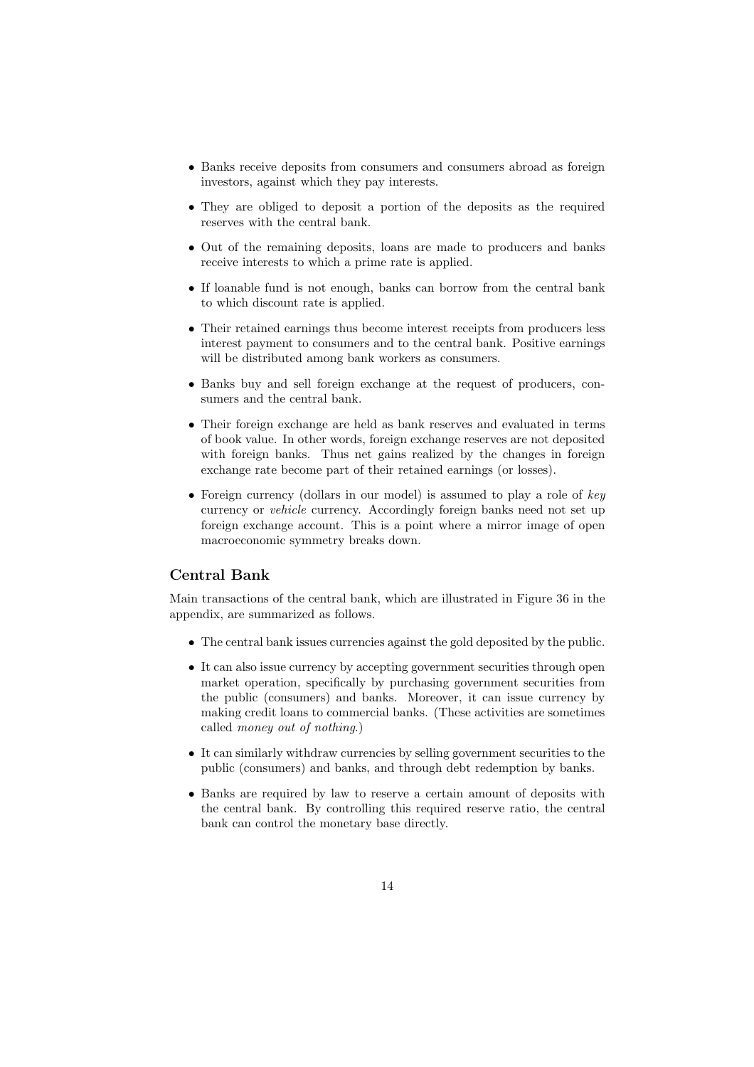- Banks receive deposits from consumers and consumers abroad as foreign investors, against which they pay interests.
- They are obliged to deposit a portion of the deposits as the required reserves with the central bank.
- Out of the remaining deposits, loans are made to producers and banks receive interests to which a prime rate is applied.
- If loanable fund is not enough, banks can borrow from the central bank to which discount rate is applied.
- *•* Their retained earnings thus become interest receipts from producers less interest payment to consumers and to the central bank. Positive earnings will be distributed among bank workers as consumers.
- Banks buy and sell foreign exchange at the request of producers, consumers and the central bank.
- *•* Their foreign exchange are held as bank reserves and evaluated in terms of book value. In other words, foreign exchange reserves are not deposited with foreign banks. Thus net gains realized by the changes in foreign exchange rate become part of their retained earnings (or losses).
- *•* Foreign currency (dollars in our model) is assumed to play a role of *key* currency or *vehicle* currency. Accordingly foreign banks need not set up foreign exchange account. This is a point where a mirror image of open macroeconomic symmetry breaks down.

#### **Central Bank**

Main transactions of the central bank, which are illustrated in Figure 36 in the appendix, are summarized as follows.

- The central bank issues currencies against the gold deposited by the public.
- It can also issue currency by accepting government securities through open market operation, specifically by purchasing government securities from the public (consumers) and banks. Moreover, it can issue currency by making credit loans to commercial banks. (These activities are sometimes called *money out of nothing*.)
- It can similarly withdraw currencies by selling government securities to the public (consumers) and banks, and through debt redemption by banks.
- Banks are required by law to reserve a certain amount of deposits with the central bank. By controlling this required reserve ratio, the central bank can control the monetary base directly.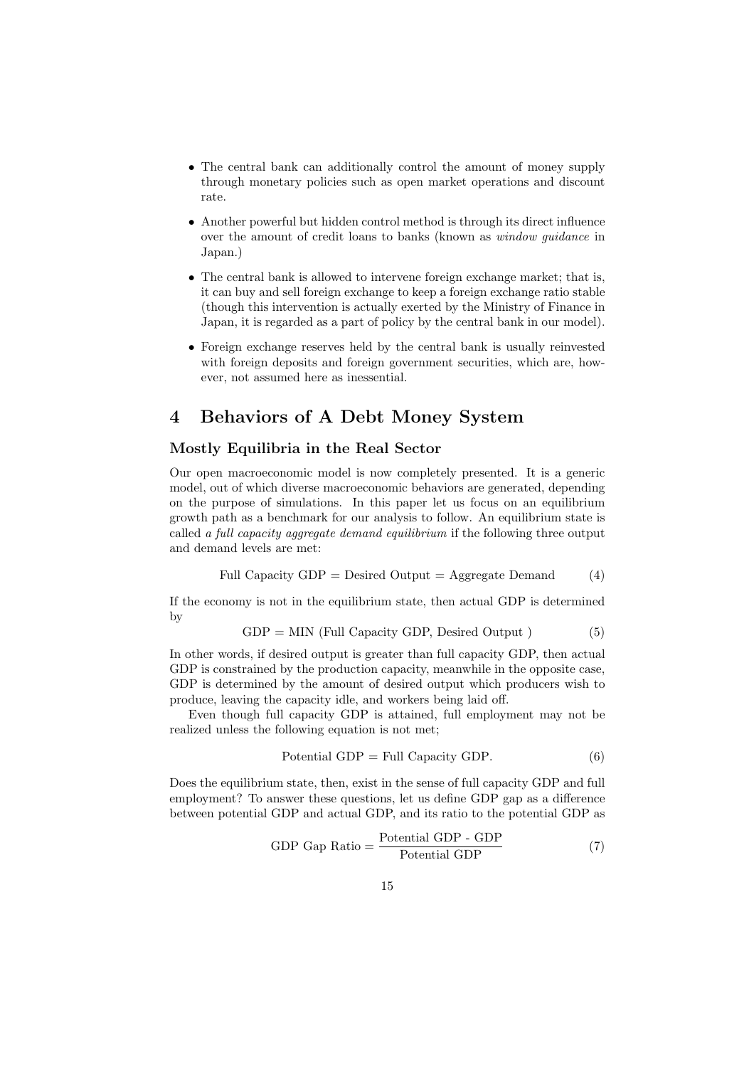- *•* The central bank can additionally control the amount of money supply through monetary policies such as open market operations and discount rate.
- *•* Another powerful but hidden control method is through its direct influence over the amount of credit loans to banks (known as *window guidance* in Japan.)
- *•* The central bank is allowed to intervene foreign exchange market; that is, it can buy and sell foreign exchange to keep a foreign exchange ratio stable (though this intervention is actually exerted by the Ministry of Finance in Japan, it is regarded as a part of policy by the central bank in our model).
- *•* Foreign exchange reserves held by the central bank is usually reinvested with foreign deposits and foreign government securities, which are, however, not assumed here as inessential.

## **4 Behaviors of A Debt Money System**

#### **Mostly Equilibria in the Real Sector**

Our open macroeconomic model is now completely presented. It is a generic model, out of which diverse macroeconomic behaviors are generated, depending on the purpose of simulations. In this paper let us focus on an equilibrium growth path as a benchmark for our analysis to follow. An equilibrium state is called *a full capacity aggregate demand equilibrium* if the following three output and demand levels are met:

Full Capacity GDP = 
$$
Desired Output = Aggregate Demand
$$
 (4)

If the economy is not in the equilibrium state, then actual GDP is determined by

$$
GDP = MIN (Full Capacity GDP, Designed Output) \t(5)
$$

In other words, if desired output is greater than full capacity GDP, then actual GDP is constrained by the production capacity, meanwhile in the opposite case, GDP is determined by the amount of desired output which producers wish to produce, leaving the capacity idle, and workers being laid off.

Even though full capacity GDP is attained, full employment may not be realized unless the following equation is not met;

$$
Potential GDP = Full Capacity GDP.
$$
\n(6)

Does the equilibrium state, then, exist in the sense of full capacity GDP and full employment? To answer these questions, let us define GDP gap as a difference between potential GDP and actual GDP, and its ratio to the potential GDP as

GDP Gap Ratio = 
$$
\frac{\text{Potential GDP} - \text{GDP}}{\text{Potential GDP}}
$$
 (7)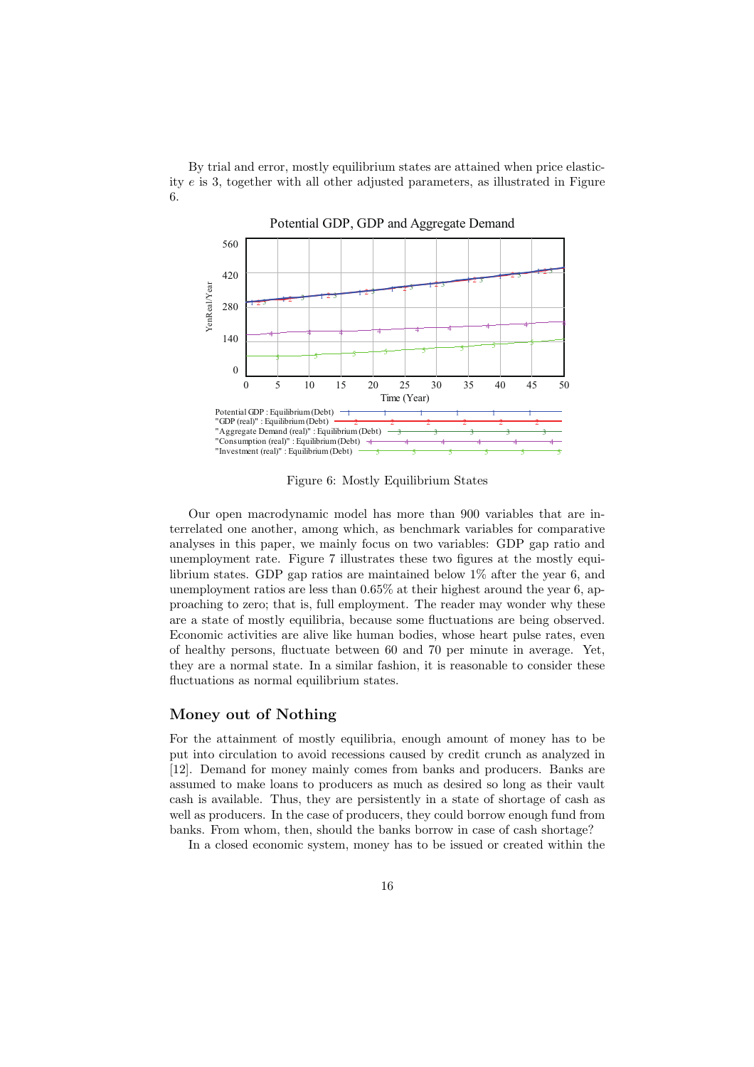By trial and error, mostly equilibrium states are attained when price elasticity *e* is 3, together with all other adjusted parameters, as illustrated in Figure 6.



Potential GDP, GDP and Aggregate Demand

Figure 6: Mostly Equilibrium States

Our open macrodynamic model has more than 900 variables that are interrelated one another, among which, as benchmark variables for comparative analyses in this paper, we mainly focus on two variables: GDP gap ratio and unemployment rate. Figure 7 illustrates these two figures at the mostly equilibrium states. GDP gap ratios are maintained below 1% after the year 6, and unemployment ratios are less than 0.65% at their highest around the year 6, approaching to zero; that is, full employment. The reader may wonder why these are a state of mostly equilibria, because some fluctuations are being observed. Economic activities are alive like human bodies, whose heart pulse rates, even of healthy persons, fluctuate between 60 and 70 per minute in average. Yet, they are a normal state. In a similar fashion, it is reasonable to consider these fluctuations as normal equilibrium states.

#### **Money out of Nothing**

For the attainment of mostly equilibria, enough amount of money has to be put into circulation to avoid recessions caused by credit crunch as analyzed in [12]. Demand for money mainly comes from banks and producers. Banks are assumed to make loans to producers as much as desired so long as their vault cash is available. Thus, they are persistently in a state of shortage of cash as well as producers. In the case of producers, they could borrow enough fund from banks. From whom, then, should the banks borrow in case of cash shortage?

In a closed economic system, money has to be issued or created within the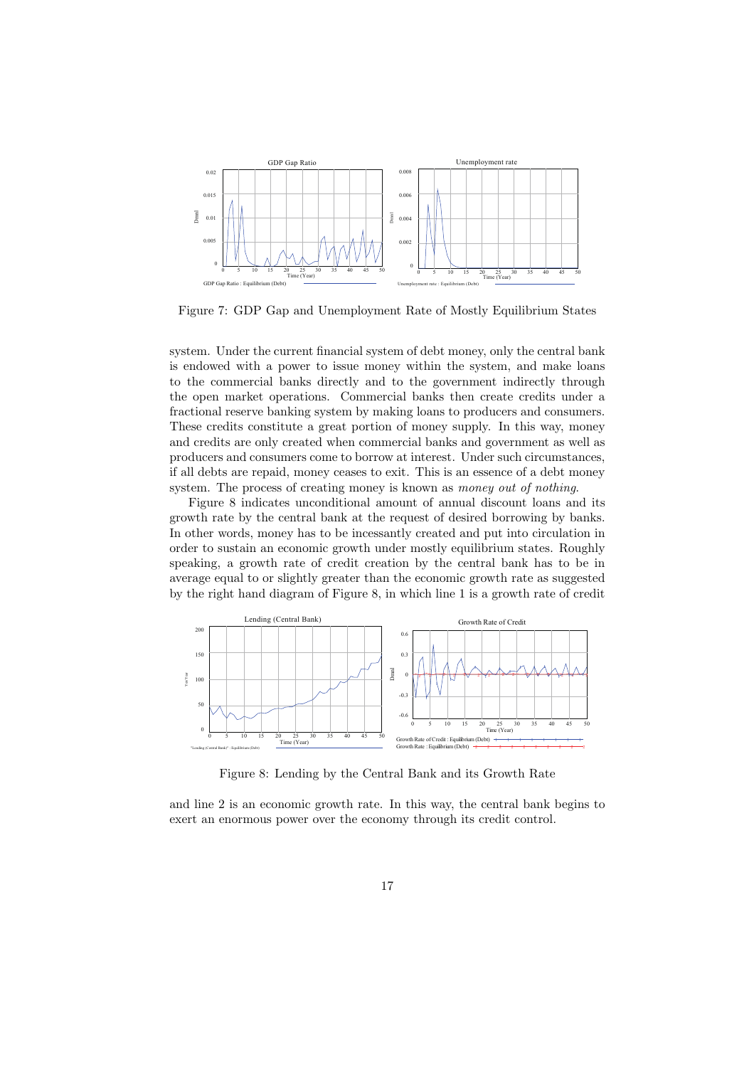

Figure 7: GDP Gap and Unemployment Rate of Mostly Equilibrium States

system. Under the current financial system of debt money, only the central bank is endowed with a power to issue money within the system, and make loans to the commercial banks directly and to the government indirectly through the open market operations. Commercial banks then create credits under a fractional reserve banking system by making loans to producers and consumers. These credits constitute a great portion of money supply. In this way, money and credits are only created when commercial banks and government as well as producers and consumers come to borrow at interest. Under such circumstances, if all debts are repaid, money ceases to exit. This is an essence of a debt money system. The process of creating money is known as *money out of nothing*.

Figure 8 indicates unconditional amount of annual discount loans and its growth rate by the central bank at the request of desired borrowing by banks. In other words, money has to be incessantly created and put into circulation in order to sustain an economic growth under mostly equilibrium states. Roughly speaking, a growth rate of credit creation by the central bank has to be in average equal to or slightly greater than the economic growth rate as suggested by the right hand diagram of Figure 8, in which line 1 is a growth rate of credit



Figure 8: Lending by the Central Bank and its Growth Rate

and line 2 is an economic growth rate. In this way, the central bank begins to exert an enormous power over the economy through its credit control.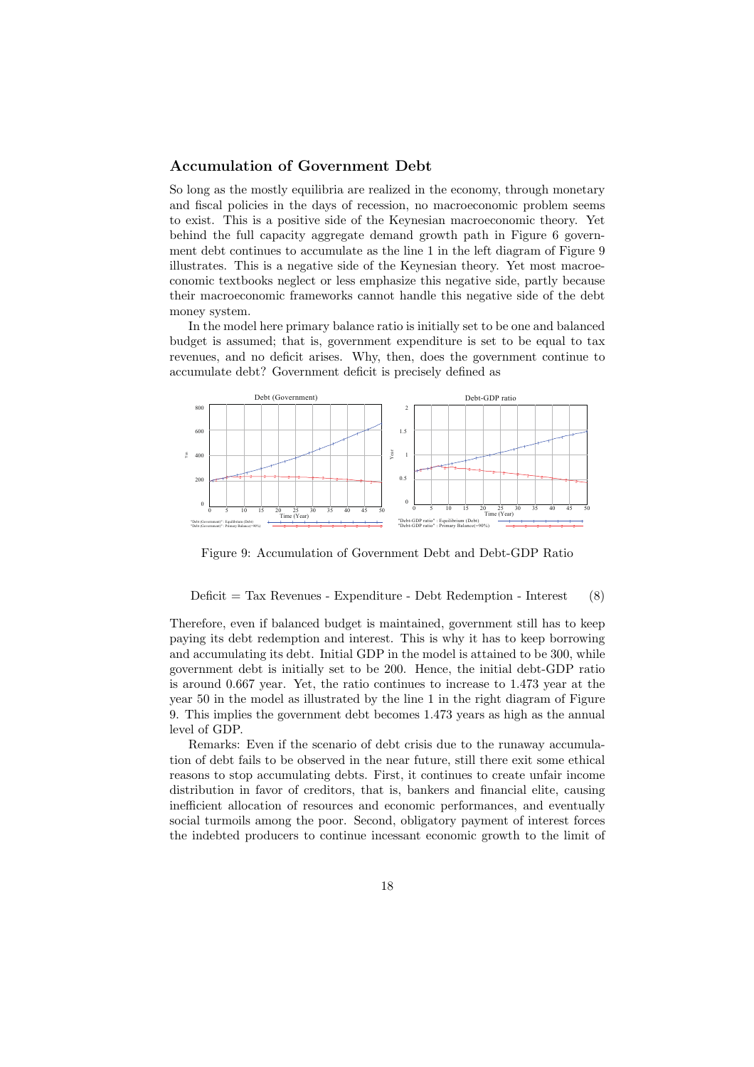#### **Accumulation of Government Debt**

So long as the mostly equilibria are realized in the economy, through monetary and fiscal policies in the days of recession, no macroeconomic problem seems to exist. This is a positive side of the Keynesian macroeconomic theory. Yet behind the full capacity aggregate demand growth path in Figure 6 government debt continues to accumulate as the line 1 in the left diagram of Figure 9 illustrates. This is a negative side of the Keynesian theory. Yet most macroeconomic textbooks neglect or less emphasize this negative side, partly because their macroeconomic frameworks cannot handle this negative side of the debt money system.

In the model here primary balance ratio is initially set to be one and balanced budget is assumed; that is, government expenditure is set to be equal to tax revenues, and no deficit arises. Why, then, does the government continue to accumulate debt? Government deficit is precisely defined as



Figure 9: Accumulation of Government Debt and Debt-GDP Ratio

 $Deficit = Tax Revenues - Expenditure - Debt Redemption - Interest (8)$ 

Therefore, even if balanced budget is maintained, government still has to keep paying its debt redemption and interest. This is why it has to keep borrowing and accumulating its debt. Initial GDP in the model is attained to be 300, while government debt is initially set to be 200. Hence, the initial debt-GDP ratio is around 0.667 year. Yet, the ratio continues to increase to 1.473 year at the year 50 in the model as illustrated by the line 1 in the right diagram of Figure 9. This implies the government debt becomes 1.473 years as high as the annual level of GDP.

Remarks: Even if the scenario of debt crisis due to the runaway accumulation of debt fails to be observed in the near future, still there exit some ethical reasons to stop accumulating debts. First, it continues to create unfair income distribution in favor of creditors, that is, bankers and financial elite, causing inefficient allocation of resources and economic performances, and eventually social turmoils among the poor. Second, obligatory payment of interest forces the indebted producers to continue incessant economic growth to the limit of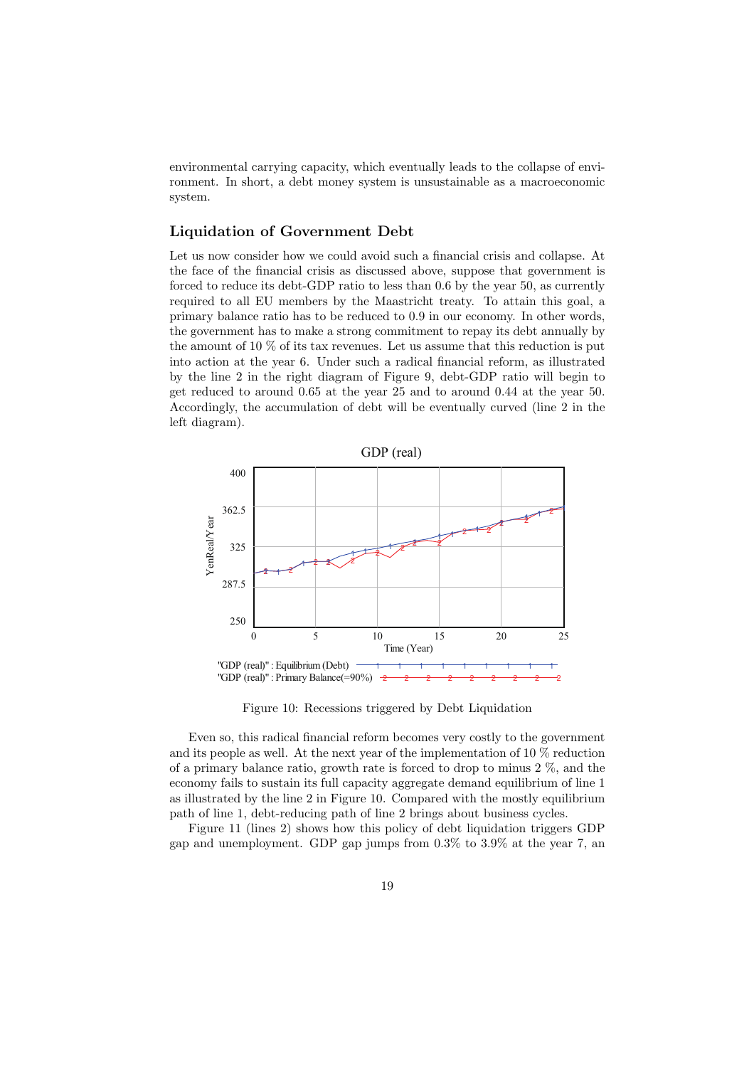environmental carrying capacity, which eventually leads to the collapse of environment. In short, a debt money system is unsustainable as a macroeconomic system.

#### **Liquidation of Government Debt**

Let us now consider how we could avoid such a financial crisis and collapse. At the face of the financial crisis as discussed above, suppose that government is forced to reduce its debt-GDP ratio to less than 0.6 by the year 50, as currently required to all EU members by the Maastricht treaty. To attain this goal, a primary balance ratio has to be reduced to 0.9 in our economy. In other words, the government has to make a strong commitment to repay its debt annually by the amount of 10 % of its tax revenues. Let us assume that this reduction is put into action at the year 6. Under such a radical financial reform, as illustrated by the line 2 in the right diagram of Figure 9, debt-GDP ratio will begin to get reduced to around 0.65 at the year 25 and to around 0.44 at the year 50. Accordingly, the accumulation of debt will be eventually curved (line 2 in the left diagram).



Figure 10: Recessions triggered by Debt Liquidation

Even so, this radical financial reform becomes very costly to the government and its people as well. At the next year of the implementation of 10 % reduction of a primary balance ratio, growth rate is forced to drop to minus 2 %, and the economy fails to sustain its full capacity aggregate demand equilibrium of line 1 as illustrated by the line 2 in Figure 10. Compared with the mostly equilibrium path of line 1, debt-reducing path of line 2 brings about business cycles.

Figure 11 (lines 2) shows how this policy of debt liquidation triggers GDP gap and unemployment. GDP gap jumps from 0.3% to 3.9% at the year 7, an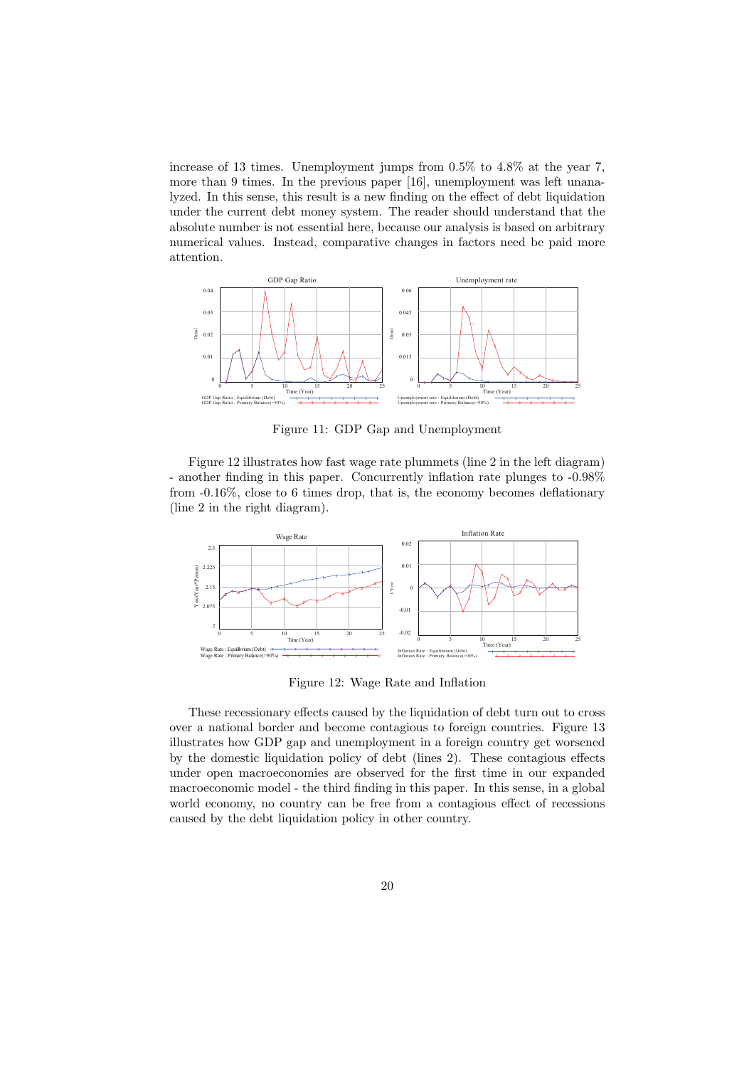increase of 13 times. Unemployment jumps from 0.5% to 4.8% at the year 7, more than 9 times. In the previous paper [16], unemployment was left unanalyzed. In this sense, this result is a new finding on the effect of debt liquidation under the current debt money system. The reader should understand that the absolute number is not essential here, because our analysis is based on arbitrary numerical values. Instead, comparative changes in factors need be paid more attention.



Figure 11: GDP Gap and Unemployment

Figure 12 illustrates how fast wage rate plummets (line 2 in the left diagram) - another finding in this paper. Concurrently inflation rate plunges to -0.98% from -0.16%, close to 6 times drop, that is, the economy becomes deflationary (line 2 in the right diagram).



Figure 12: Wage Rate and Inflation

These recessionary effects caused by the liquidation of debt turn out to cross over a national border and become contagious to foreign countries. Figure 13 illustrates how GDP gap and unemployment in a foreign country get worsened by the domestic liquidation policy of debt (lines 2). These contagious effects under open macroeconomies are observed for the first time in our expanded macroeconomic model - the third finding in this paper. In this sense, in a global world economy, no country can be free from a contagious effect of recessions caused by the debt liquidation policy in other country.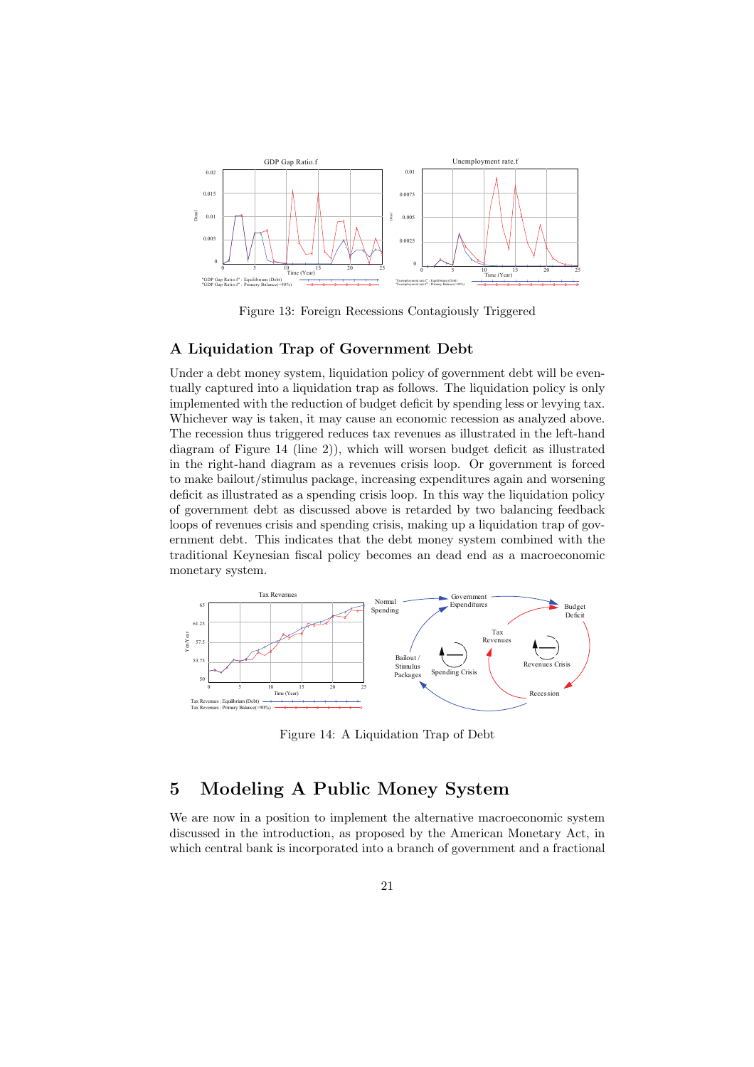

Figure 13: Foreign Recessions Contagiously Triggered

#### **A Liquidation Trap of Government Debt**

Under a debt money system, liquidation policy of government debt will be eventually captured into a liquidation trap as follows. The liquidation policy is only implemented with the reduction of budget deficit by spending less or levying tax. Whichever way is taken, it may cause an economic recession as analyzed above. The recession thus triggered reduces tax revenues as illustrated in the left-hand diagram of Figure 14 (line 2)), which will worsen budget deficit as illustrated in the right-hand diagram as a revenues crisis loop. Or government is forced to make bailout/stimulus package, increasing expenditures again and worsening deficit as illustrated as a spending crisis loop. In this way the liquidation policy of government debt as discussed above is retarded by two balancing feedback loops of revenues crisis and spending crisis, making up a liquidation trap of government debt. This indicates that the debt money system combined with the traditional Keynesian fiscal policy becomes an dead end as a macroeconomic monetary system.



Figure 14: A Liquidation Trap of Debt

## **5 Modeling A Public Money System**

We are now in a position to implement the alternative macroeconomic system discussed in the introduction, as proposed by the American Monetary Act, in which central bank is incorporated into a branch of government and a fractional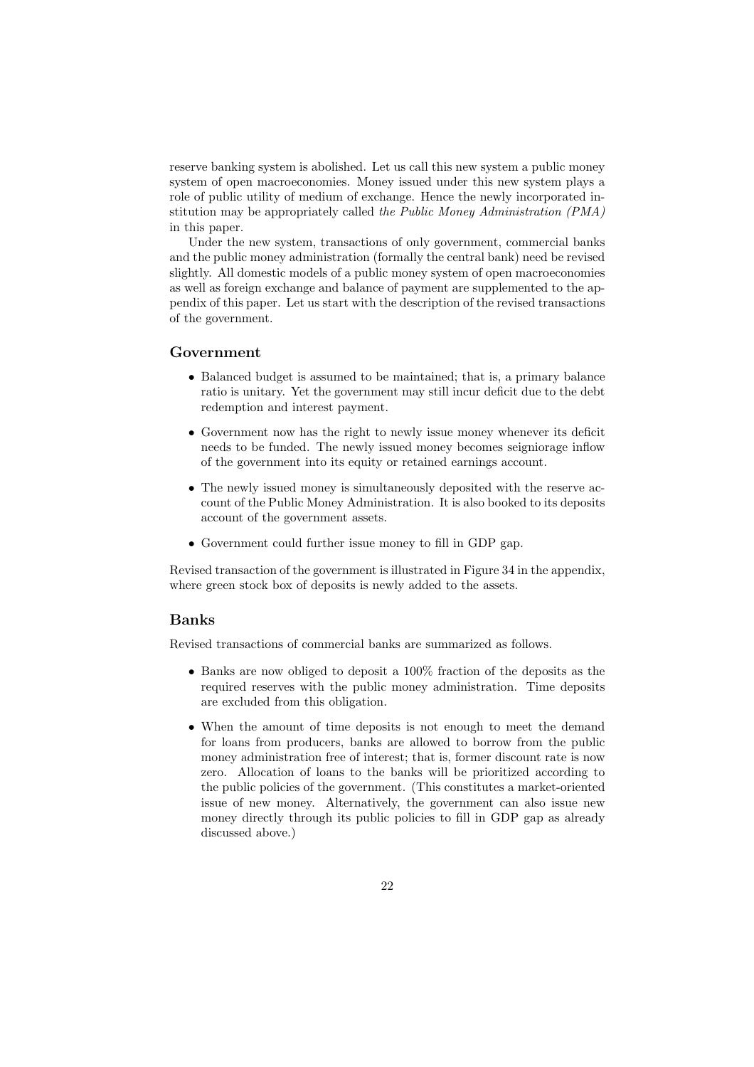reserve banking system is abolished. Let us call this new system a public money system of open macroeconomies. Money issued under this new system plays a role of public utility of medium of exchange. Hence the newly incorporated institution may be appropriately called *the Public Money Administration (PMA)* in this paper.

Under the new system, transactions of only government, commercial banks and the public money administration (formally the central bank) need be revised slightly. All domestic models of a public money system of open macroeconomies as well as foreign exchange and balance of payment are supplemented to the appendix of this paper. Let us start with the description of the revised transactions of the government.

#### **Government**

- Balanced budget is assumed to be maintained; that is, a primary balance ratio is unitary. Yet the government may still incur deficit due to the debt redemption and interest payment.
- *•* Government now has the right to newly issue money whenever its deficit needs to be funded. The newly issued money becomes seigniorage inflow of the government into its equity or retained earnings account.
- The newly issued money is simultaneously deposited with the reserve account of the Public Money Administration. It is also booked to its deposits account of the government assets.
- *•* Government could further issue money to fill in GDP gap.

Revised transaction of the government is illustrated in Figure 34 in the appendix, where green stock box of deposits is newly added to the assets.

#### **Banks**

Revised transactions of commercial banks are summarized as follows.

- *•* Banks are now obliged to deposit a 100% fraction of the deposits as the required reserves with the public money administration. Time deposits are excluded from this obligation.
- When the amount of time deposits is not enough to meet the demand for loans from producers, banks are allowed to borrow from the public money administration free of interest; that is, former discount rate is now zero. Allocation of loans to the banks will be prioritized according to the public policies of the government. (This constitutes a market-oriented issue of new money. Alternatively, the government can also issue new money directly through its public policies to fill in GDP gap as already discussed above.)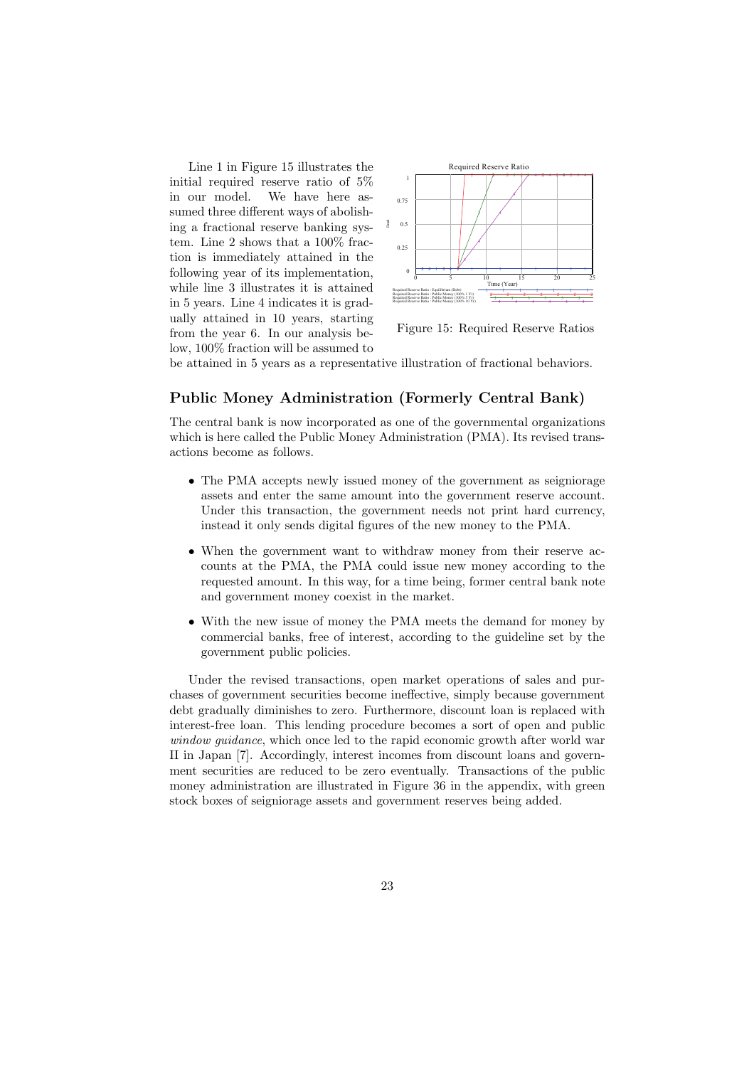Line 1 in Figure 15 illustrates the initial required reserve ratio of 5% in our model. We have here assumed three different ways of abolishing a fractional reserve banking system. Line 2 shows that a 100% fraction is immediately attained in the following year of its implementation, while line 3 illustrates it is attained in 5 years. Line 4 indicates it is gradually attained in 10 years, starting from the year 6. In our analysis below, 100% fraction will be assumed to



Figure 15: Required Reserve Ratios

be attained in 5 years as a representative illustration of fractional behaviors.

#### **Public Money Administration (Formerly Central Bank)**

The central bank is now incorporated as one of the governmental organizations which is here called the Public Money Administration (PMA). Its revised transactions become as follows.

- The PMA accepts newly issued money of the government as seigniorage assets and enter the same amount into the government reserve account. Under this transaction, the government needs not print hard currency, instead it only sends digital figures of the new money to the PMA.
- When the government want to withdraw money from their reserve accounts at the PMA, the PMA could issue new money according to the requested amount. In this way, for a time being, former central bank note and government money coexist in the market.
- With the new issue of money the PMA meets the demand for money by commercial banks, free of interest, according to the guideline set by the government public policies.

Under the revised transactions, open market operations of sales and purchases of government securities become ineffective, simply because government debt gradually diminishes to zero. Furthermore, discount loan is replaced with interest-free loan. This lending procedure becomes a sort of open and public *window guidance*, which once led to the rapid economic growth after world war II in Japan [7]. Accordingly, interest incomes from discount loans and government securities are reduced to be zero eventually. Transactions of the public money administration are illustrated in Figure 36 in the appendix, with green stock boxes of seigniorage assets and government reserves being added.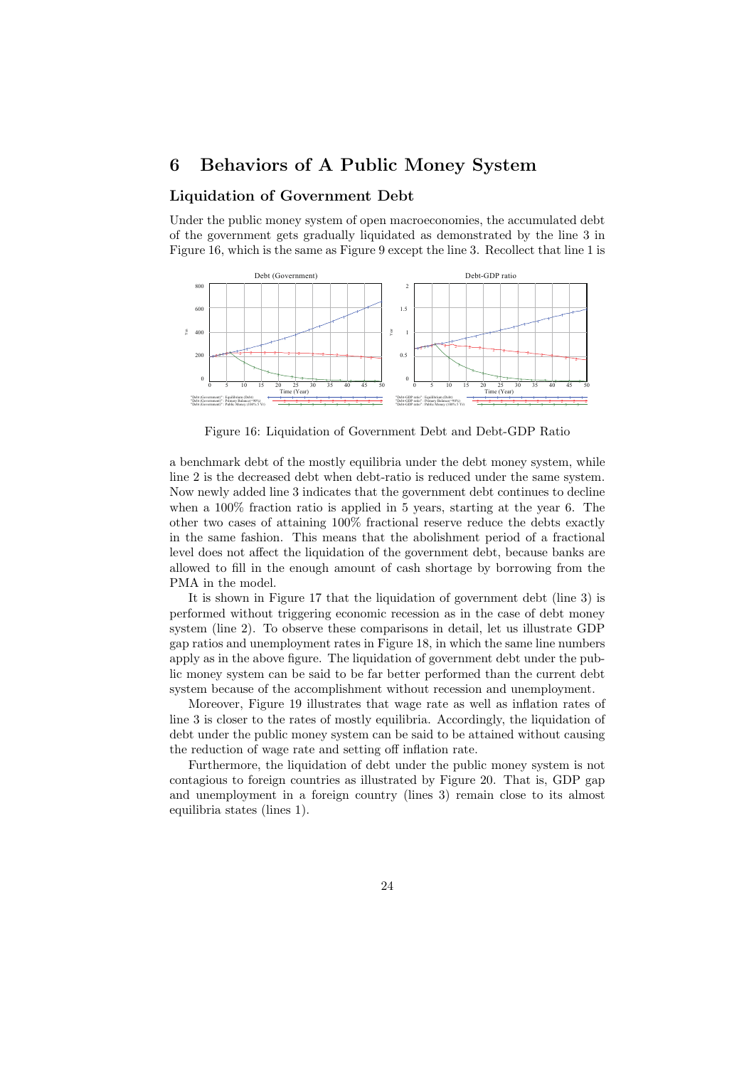### **6 Behaviors of A Public Money System**

#### **Liquidation of Government Debt**

Under the public money system of open macroeconomies, the accumulated debt of the government gets gradually liquidated as demonstrated by the line 3 in Figure 16, which is the same as Figure 9 except the line 3. Recollect that line 1 is



Figure 16: Liquidation of Government Debt and Debt-GDP Ratio

a benchmark debt of the mostly equilibria under the debt money system, while line 2 is the decreased debt when debt-ratio is reduced under the same system. Now newly added line 3 indicates that the government debt continues to decline when a 100% fraction ratio is applied in 5 years, starting at the year 6. The other two cases of attaining 100% fractional reserve reduce the debts exactly in the same fashion. This means that the abolishment period of a fractional level does not affect the liquidation of the government debt, because banks are allowed to fill in the enough amount of cash shortage by borrowing from the PMA in the model.

It is shown in Figure 17 that the liquidation of government debt (line 3) is performed without triggering economic recession as in the case of debt money system (line 2). To observe these comparisons in detail, let us illustrate GDP gap ratios and unemployment rates in Figure 18, in which the same line numbers apply as in the above figure. The liquidation of government debt under the public money system can be said to be far better performed than the current debt system because of the accomplishment without recession and unemployment.

Moreover, Figure 19 illustrates that wage rate as well as inflation rates of line 3 is closer to the rates of mostly equilibria. Accordingly, the liquidation of debt under the public money system can be said to be attained without causing the reduction of wage rate and setting off inflation rate.

Furthermore, the liquidation of debt under the public money system is not contagious to foreign countries as illustrated by Figure 20. That is, GDP gap and unemployment in a foreign country (lines 3) remain close to its almost equilibria states (lines 1).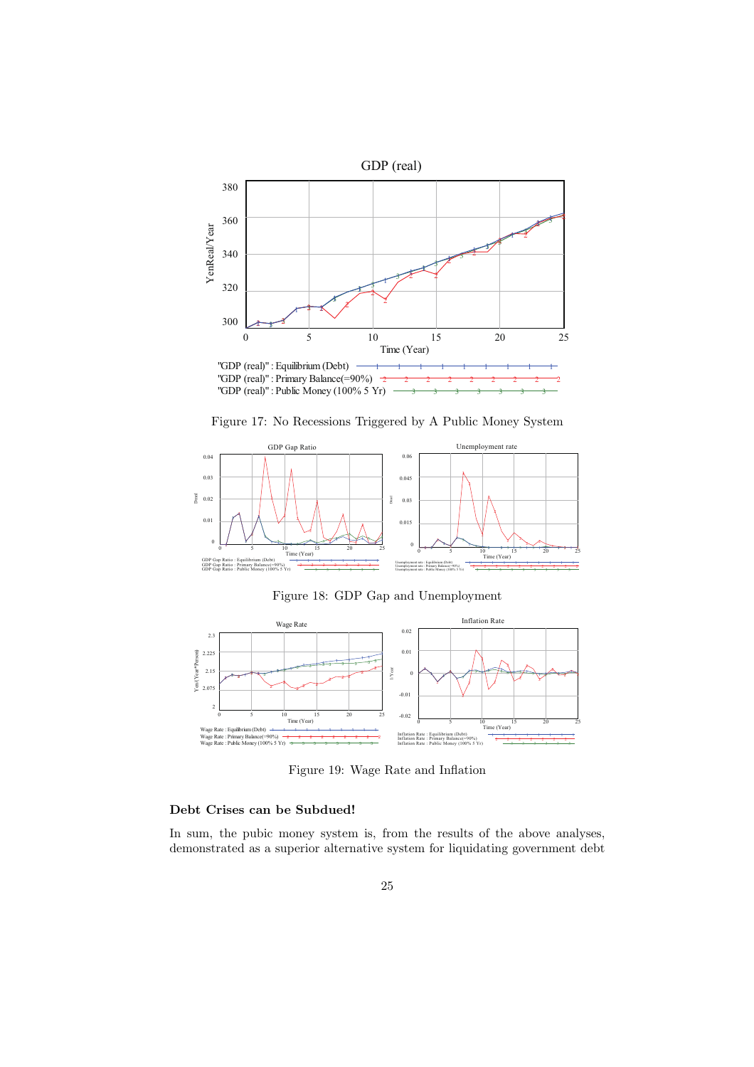

Figure 17: No Recessions Triggered by A Public Money System



Figure 18: GDP Gap and Unemployment



Figure 19: Wage Rate and Inflation

#### **Debt Crises can be Subdued!**

In sum, the pubic money system is, from the results of the above analyses, demonstrated as a superior alternative system for liquidating government debt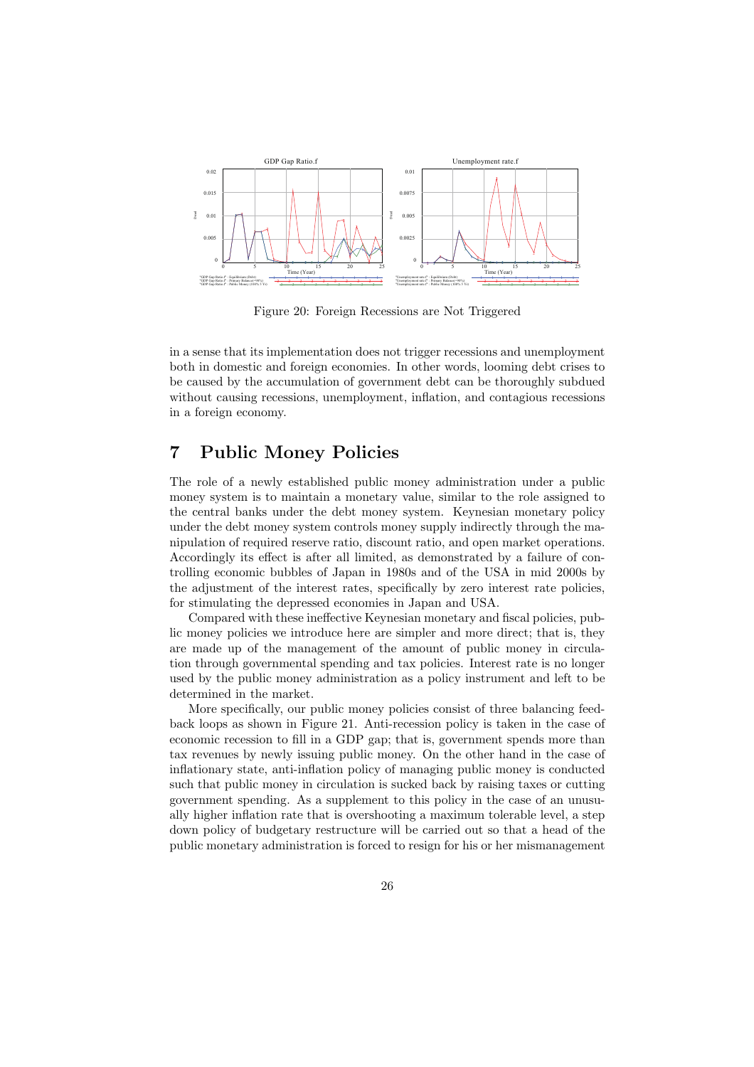

Figure 20: Foreign Recessions are Not Triggered

in a sense that its implementation does not trigger recessions and unemployment both in domestic and foreign economies. In other words, looming debt crises to be caused by the accumulation of government debt can be thoroughly subdued without causing recessions, unemployment, inflation, and contagious recessions in a foreign economy.

## **7 Public Money Policies**

The role of a newly established public money administration under a public money system is to maintain a monetary value, similar to the role assigned to the central banks under the debt money system. Keynesian monetary policy under the debt money system controls money supply indirectly through the manipulation of required reserve ratio, discount ratio, and open market operations. Accordingly its effect is after all limited, as demonstrated by a failure of controlling economic bubbles of Japan in 1980s and of the USA in mid 2000s by the adjustment of the interest rates, specifically by zero interest rate policies, for stimulating the depressed economies in Japan and USA.

Compared with these ineffective Keynesian monetary and fiscal policies, public money policies we introduce here are simpler and more direct; that is, they are made up of the management of the amount of public money in circulation through governmental spending and tax policies. Interest rate is no longer used by the public money administration as a policy instrument and left to be determined in the market.

More specifically, our public money policies consist of three balancing feedback loops as shown in Figure 21. Anti-recession policy is taken in the case of economic recession to fill in a GDP gap; that is, government spends more than tax revenues by newly issuing public money. On the other hand in the case of inflationary state, anti-inflation policy of managing public money is conducted such that public money in circulation is sucked back by raising taxes or cutting government spending. As a supplement to this policy in the case of an unusually higher inflation rate that is overshooting a maximum tolerable level, a step down policy of budgetary restructure will be carried out so that a head of the public monetary administration is forced to resign for his or her mismanagement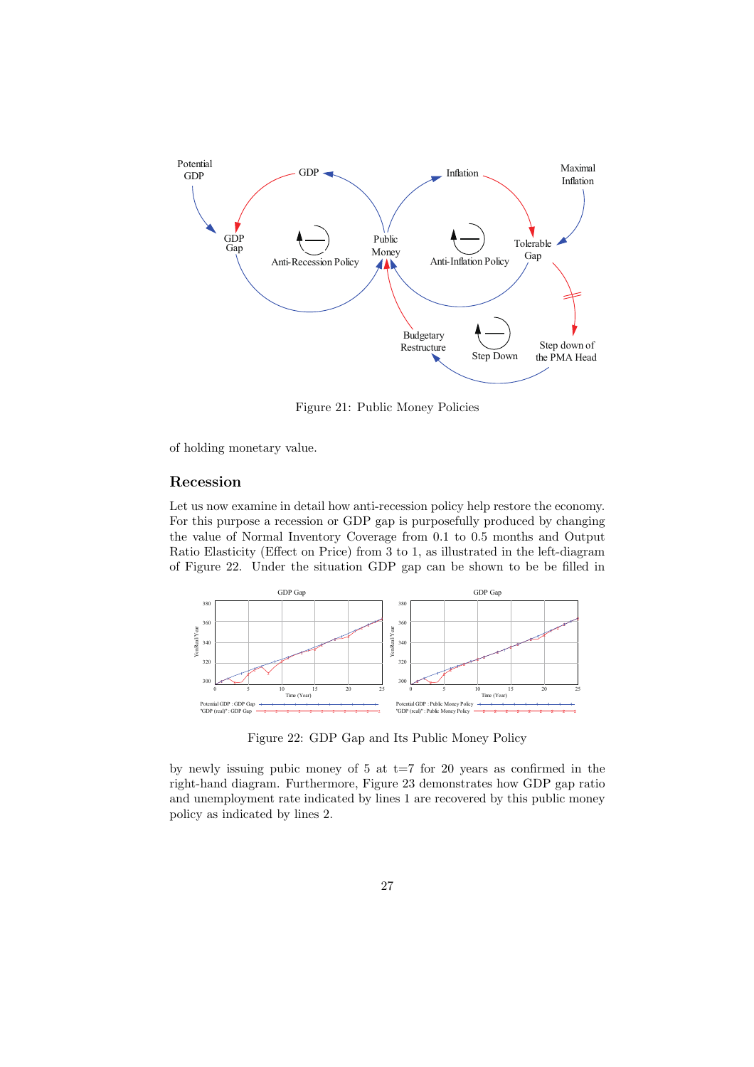

Figure 21: Public Money Policies

of holding monetary value.

#### **Recession**

Let us now examine in detail how anti-recession policy help restore the economy. For this purpose a recession or GDP gap is purposefully produced by changing the value of Normal Inventory Coverage from 0.1 to 0.5 months and Output Ratio Elasticity (Effect on Price) from 3 to 1, as illustrated in the left-diagram of Figure 22. Under the situation GDP gap can be shown to be be filled in



Figure 22: GDP Gap and Its Public Money Policy

by newly issuing pubic money of  $5$  at  $t=7$  for 20 years as confirmed in the right-hand diagram. Furthermore, Figure 23 demonstrates how GDP gap ratio and unemployment rate indicated by lines 1 are recovered by this public money policy as indicated by lines 2.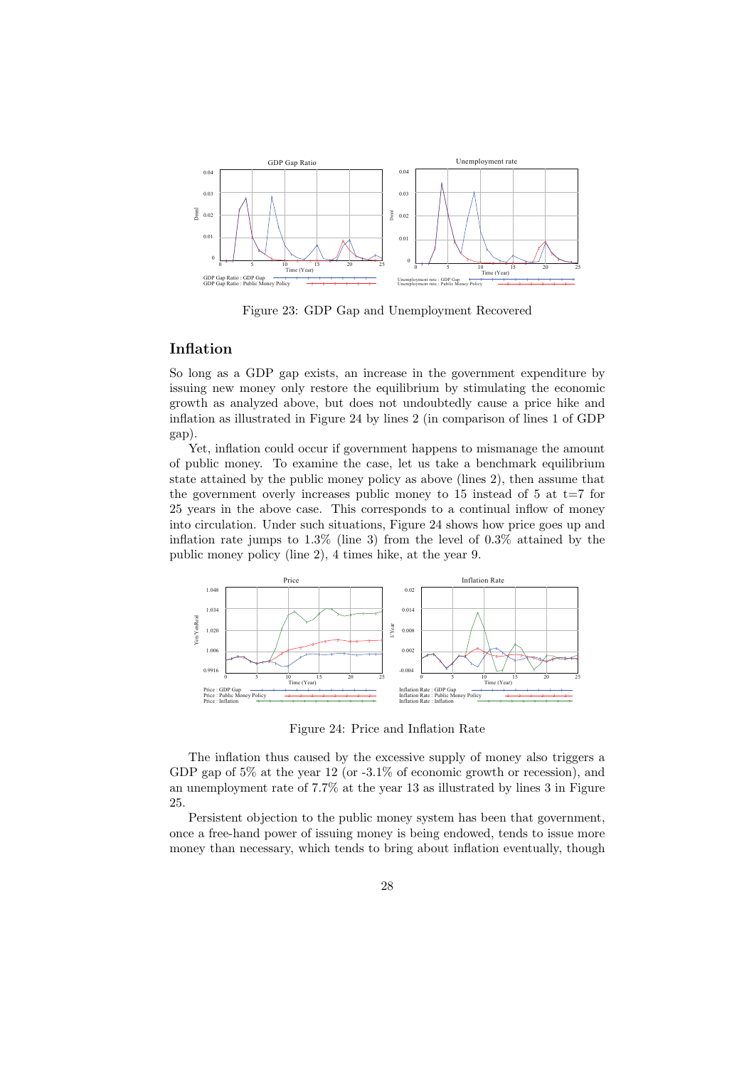

Figure 23: GDP Gap and Unemployment Recovered

#### **Inflation**

So long as a GDP gap exists, an increase in the government expenditure by issuing new money only restore the equilibrium by stimulating the economic growth as analyzed above, but does not undoubtedly cause a price hike and inflation as illustrated in Figure 24 by lines 2 (in comparison of lines 1 of GDP gap).

Yet, inflation could occur if government happens to mismanage the amount of public money. To examine the case, let us take a benchmark equilibrium state attained by the public money policy as above (lines 2), then assume that the government overly increases public money to  $15$  instead of  $5$  at  $t=7$  for 25 years in the above case. This corresponds to a continual inflow of money into circulation. Under such situations, Figure 24 shows how price goes up and inflation rate jumps to 1.3% (line 3) from the level of 0.3% attained by the public money policy (line 2), 4 times hike, at the year 9.



Figure 24: Price and Inflation Rate

The inflation thus caused by the excessive supply of money also triggers a GDP gap of 5% at the year 12 (or -3.1% of economic growth or recession), and an unemployment rate of 7.7% at the year 13 as illustrated by lines 3 in Figure 25.

Persistent objection to the public money system has been that government, once a free-hand power of issuing money is being endowed, tends to issue more money than necessary, which tends to bring about inflation eventually, though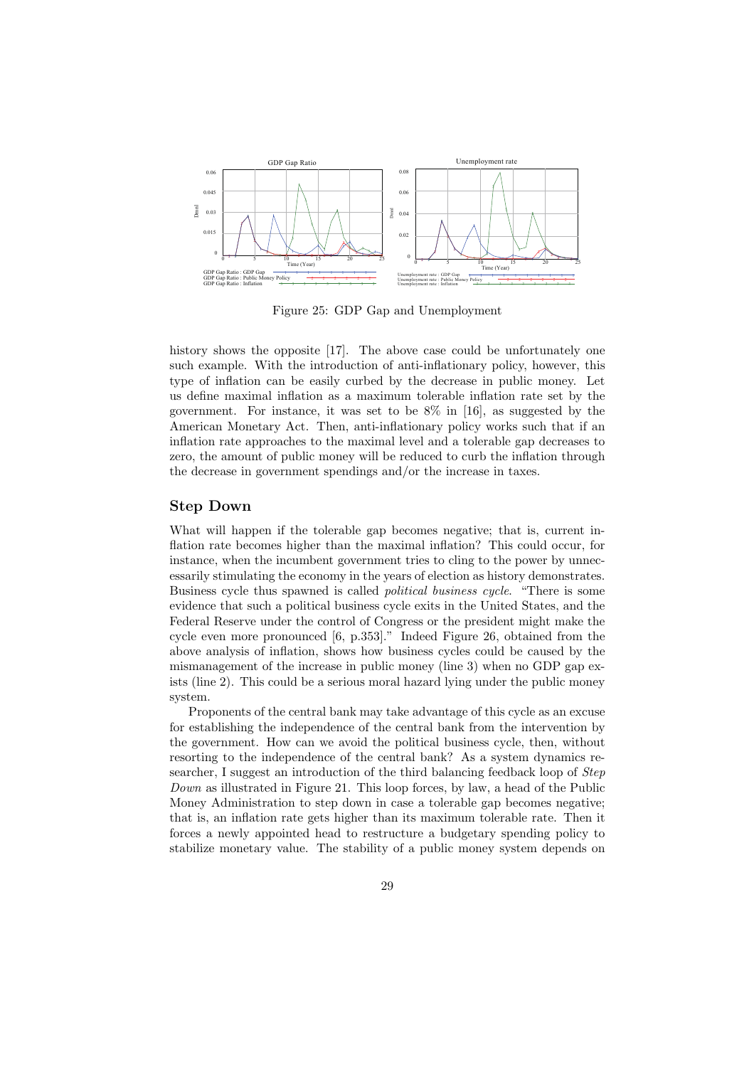

Figure 25: GDP Gap and Unemployment

history shows the opposite [17]. The above case could be unfortunately one such example. With the introduction of anti-inflationary policy, however, this type of inflation can be easily curbed by the decrease in public money. Let us define maximal inflation as a maximum tolerable inflation rate set by the government. For instance, it was set to be 8% in [16], as suggested by the American Monetary Act. Then, anti-inflationary policy works such that if an inflation rate approaches to the maximal level and a tolerable gap decreases to zero, the amount of public money will be reduced to curb the inflation through the decrease in government spendings and/or the increase in taxes.

#### **Step Down**

What will happen if the tolerable gap becomes negative; that is, current inflation rate becomes higher than the maximal inflation? This could occur, for instance, when the incumbent government tries to cling to the power by unnecessarily stimulating the economy in the years of election as history demonstrates. Business cycle thus spawned is called *political business cycle*. "There is some evidence that such a political business cycle exits in the United States, and the Federal Reserve under the control of Congress or the president might make the cycle even more pronounced [6, p.353]." Indeed Figure 26, obtained from the above analysis of inflation, shows how business cycles could be caused by the mismanagement of the increase in public money (line 3) when no GDP gap exists (line 2). This could be a serious moral hazard lying under the public money system.

Proponents of the central bank may take advantage of this cycle as an excuse for establishing the independence of the central bank from the intervention by the government. How can we avoid the political business cycle, then, without resorting to the independence of the central bank? As a system dynamics researcher, I suggest an introduction of the third balancing feedback loop of *Step Down* as illustrated in Figure 21. This loop forces, by law, a head of the Public Money Administration to step down in case a tolerable gap becomes negative; that is, an inflation rate gets higher than its maximum tolerable rate. Then it forces a newly appointed head to restructure a budgetary spending policy to stabilize monetary value. The stability of a public money system depends on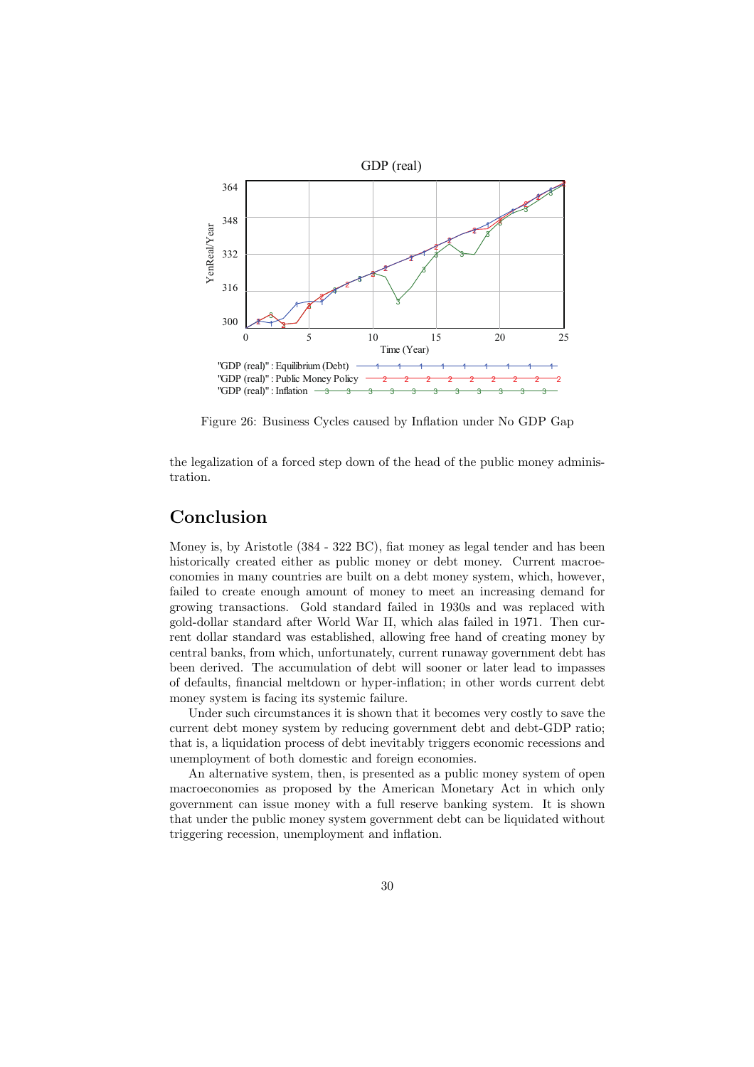

Figure 26: Business Cycles caused by Inflation under No GDP Gap

the legalization of a forced step down of the head of the public money administration.

### **Conclusion**

Money is, by Aristotle (384 - 322 BC), fiat money as legal tender and has been historically created either as public money or debt money. Current macroeconomies in many countries are built on a debt money system, which, however, failed to create enough amount of money to meet an increasing demand for growing transactions. Gold standard failed in 1930s and was replaced with gold-dollar standard after World War II, which alas failed in 1971. Then current dollar standard was established, allowing free hand of creating money by central banks, from which, unfortunately, current runaway government debt has been derived. The accumulation of debt will sooner or later lead to impasses of defaults, financial meltdown or hyper-inflation; in other words current debt money system is facing its systemic failure.

Under such circumstances it is shown that it becomes very costly to save the current debt money system by reducing government debt and debt-GDP ratio; that is, a liquidation process of debt inevitably triggers economic recessions and unemployment of both domestic and foreign economies.

An alternative system, then, is presented as a public money system of open macroeconomies as proposed by the American Monetary Act in which only government can issue money with a full reserve banking system. It is shown that under the public money system government debt can be liquidated without triggering recession, unemployment and inflation.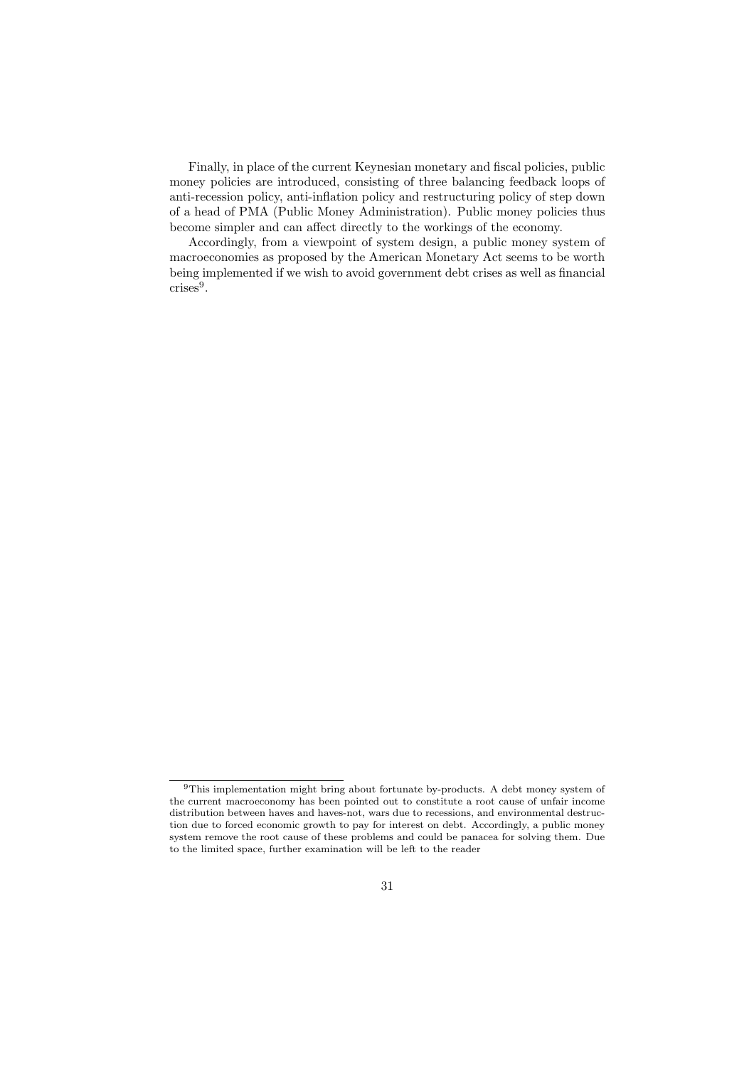Finally, in place of the current Keynesian monetary and fiscal policies, public money policies are introduced, consisting of three balancing feedback loops of anti-recession policy, anti-inflation policy and restructuring policy of step down of a head of PMA (Public Money Administration). Public money policies thus become simpler and can affect directly to the workings of the economy.

Accordingly, from a viewpoint of system design, a public money system of macroeconomies as proposed by the American Monetary Act seems to be worth being implemented if we wish to avoid government debt crises as well as financial crises<sup>9</sup>.

<sup>9</sup>This implementation might bring about fortunate by-products. A debt money system of the current macroeconomy has been pointed out to constitute a root cause of unfair income distribution between haves and haves-not, wars due to recessions, and environmental destruction due to forced economic growth to pay for interest on debt. Accordingly, a public money system remove the root cause of these problems and could be panacea for solving them. Due to the limited space, further examination will be left to the reader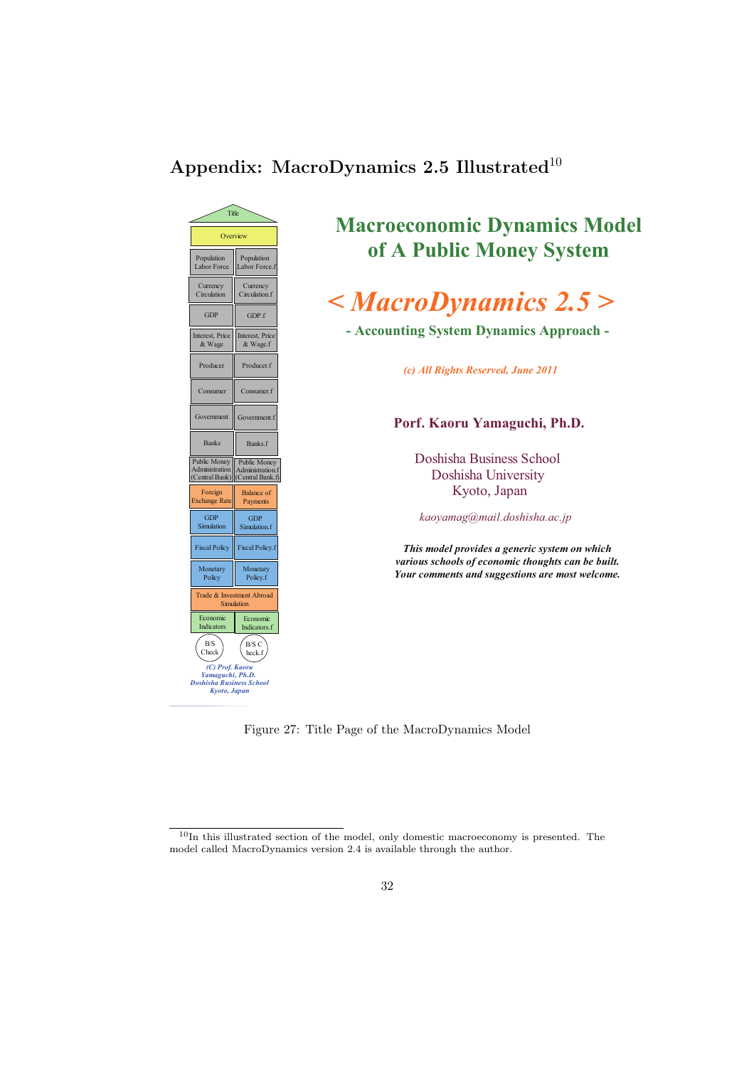## **Appendix: MacroDynamics 2.5 Illustrated**<sup>10</sup>



## **Macroeconomic Dynamics Model of A Public Money System**

# *< MacroDynamics 2.5 >*

**- Accounting System Dynamics Approach -**

*(c) All Rights Reserved, June 2011*

#### **Porf. Kaoru Yamaguchi, Ph.D.**

Doshisha Business School Doshisha University Kyoto, Japan

*kaoyamag@mail.doshisha.ac.jp*

*This model provides a generic system on which various schools of economic thoughts can be built. Your comments and suggestions are most welcome.*

Figure 27: Title Page of the MacroDynamics Model

 $^{10}\mathrm{In}$  this illustrated section of the model, only domestic macroeconomy is presented. The model called MacroDynamics version 2.4 is available through the author.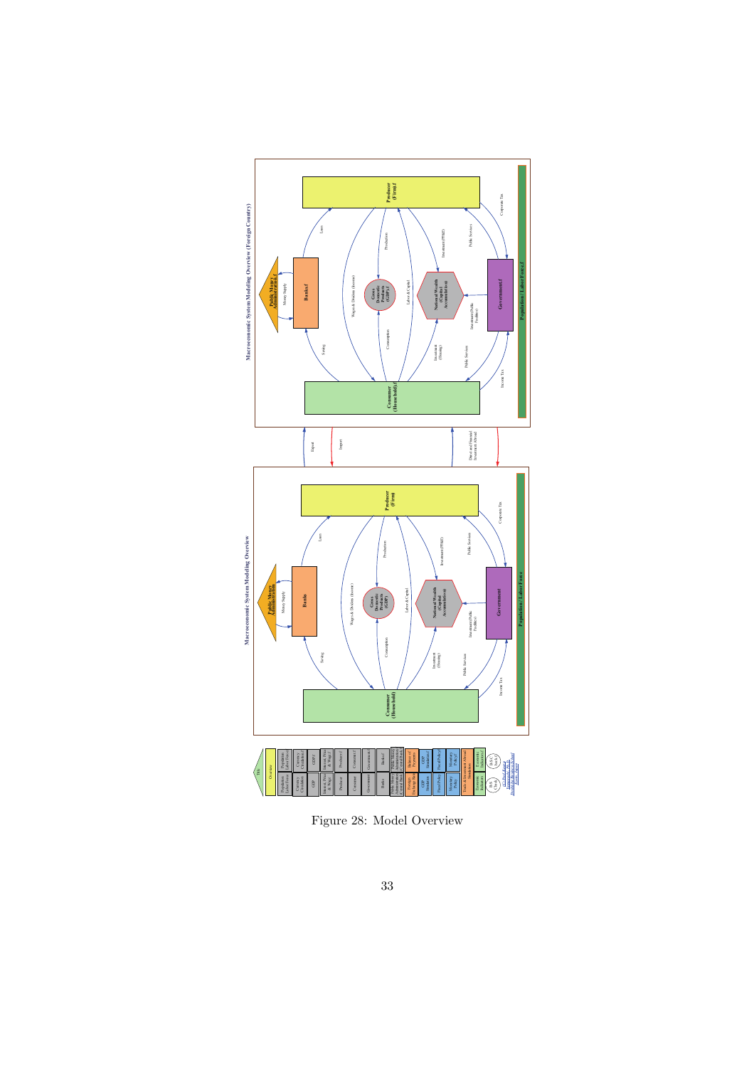

Figure 28: Model Overview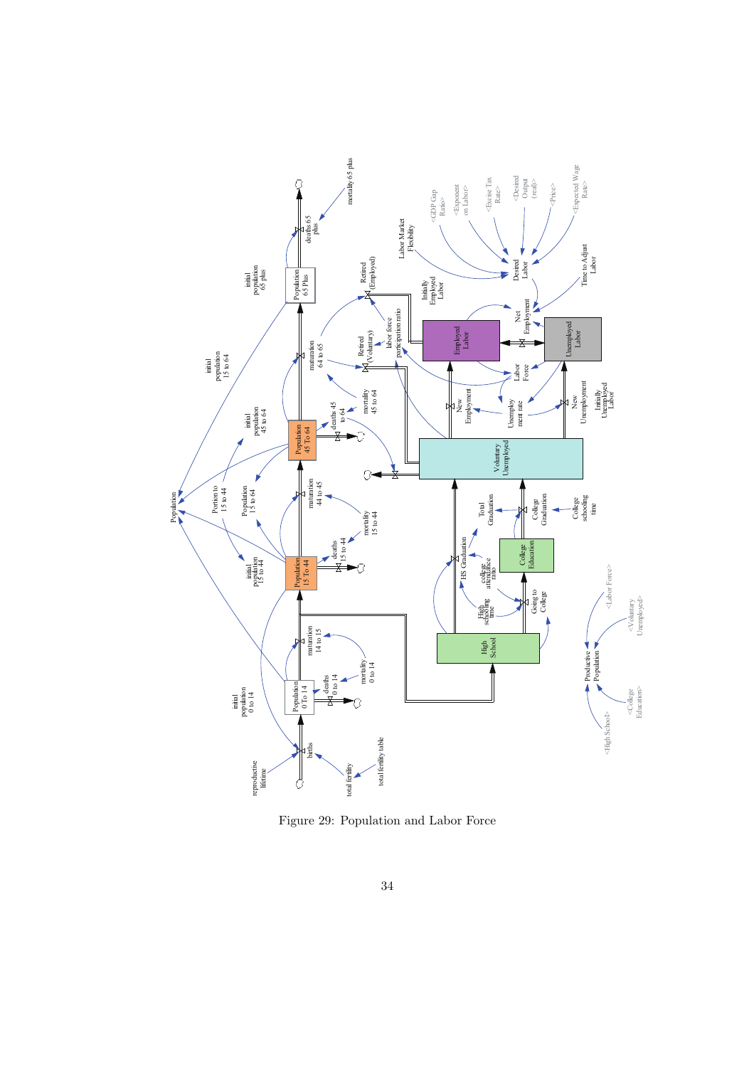

Figure 29: Population and Labor Force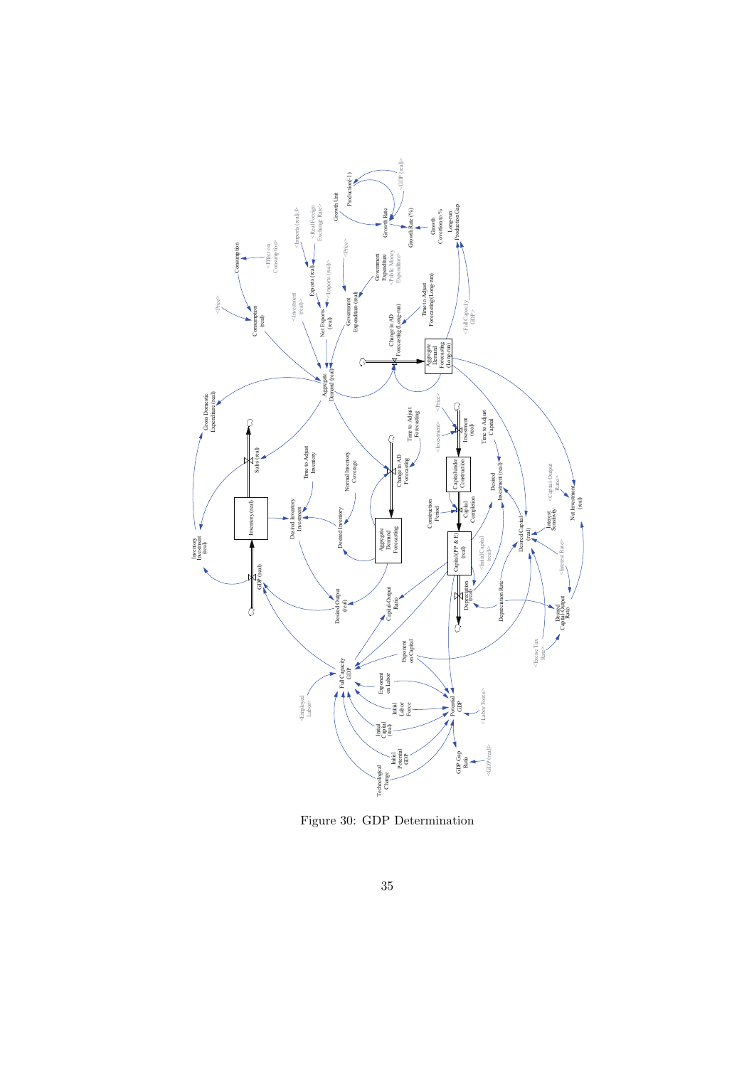

Figure 30: GDP Determination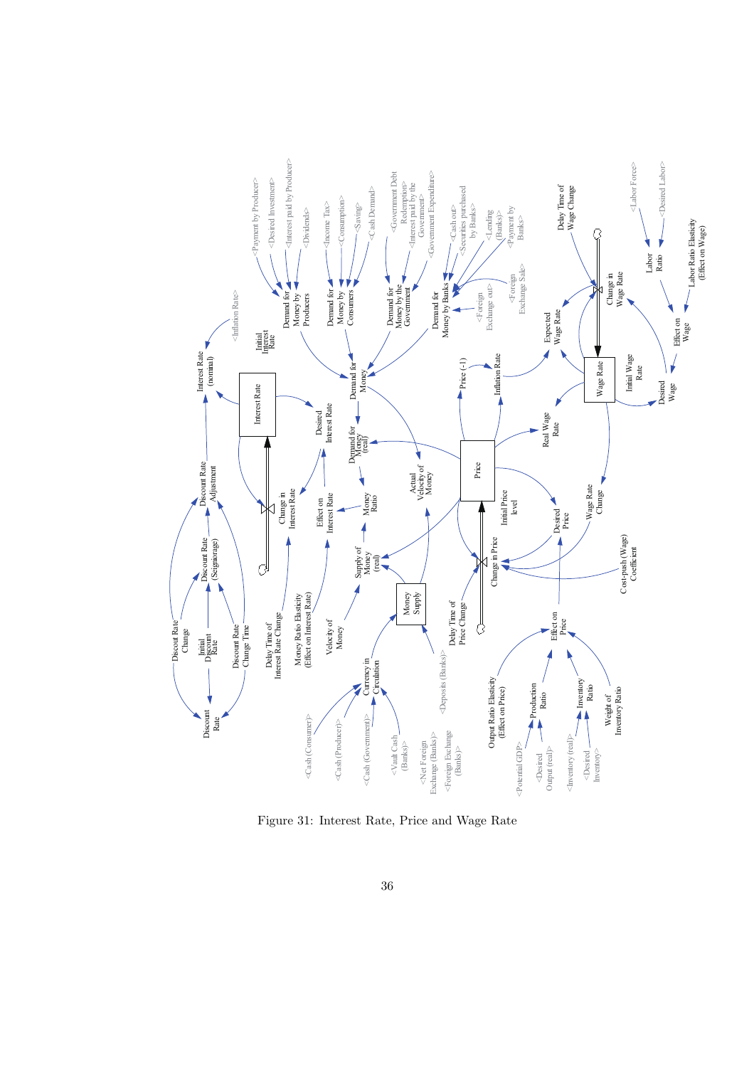

Figure 31: Interest Rate, Price and Wage Rate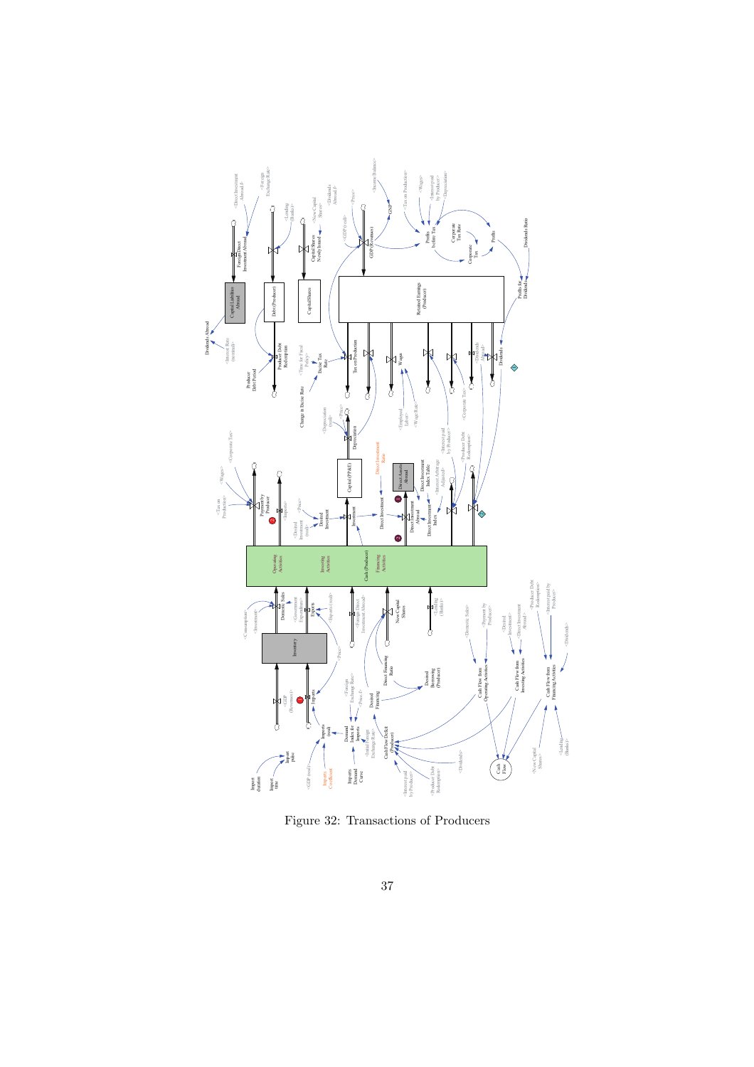

Figure 32: Transactions of Producers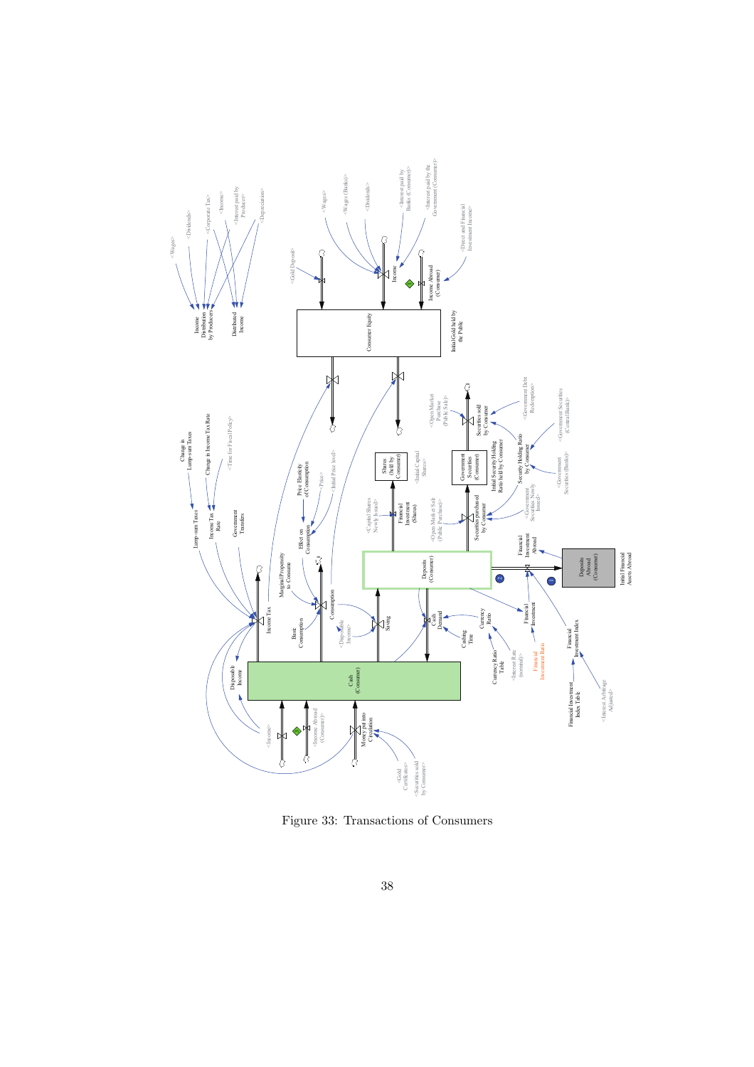

Figure 33: Transactions of Consumers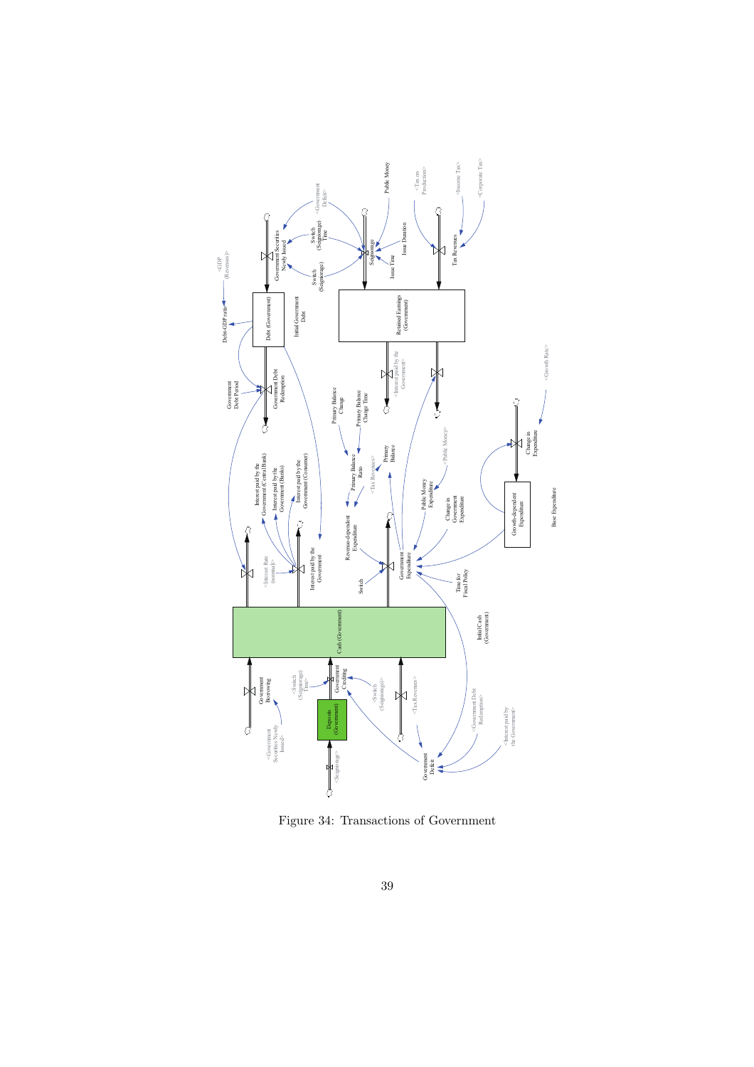

Figure 34: Transactions of Government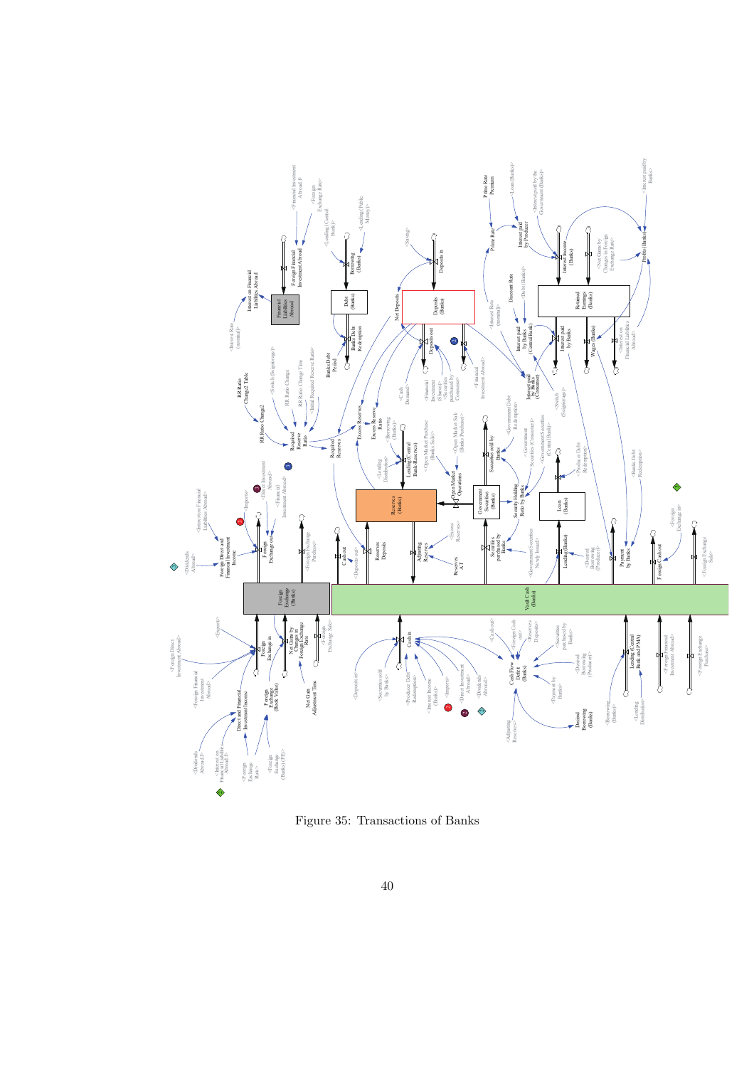

Figure 35: Transactions of Banks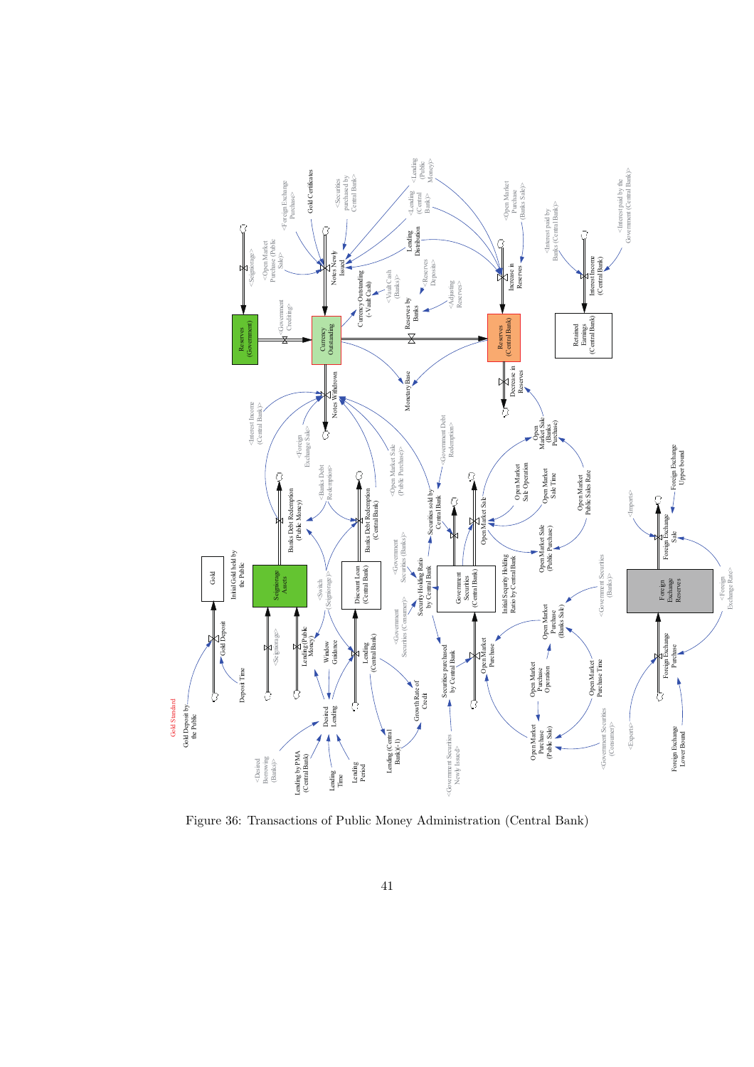

Figure 36: Transactions of Public Money Administration (Central Bank)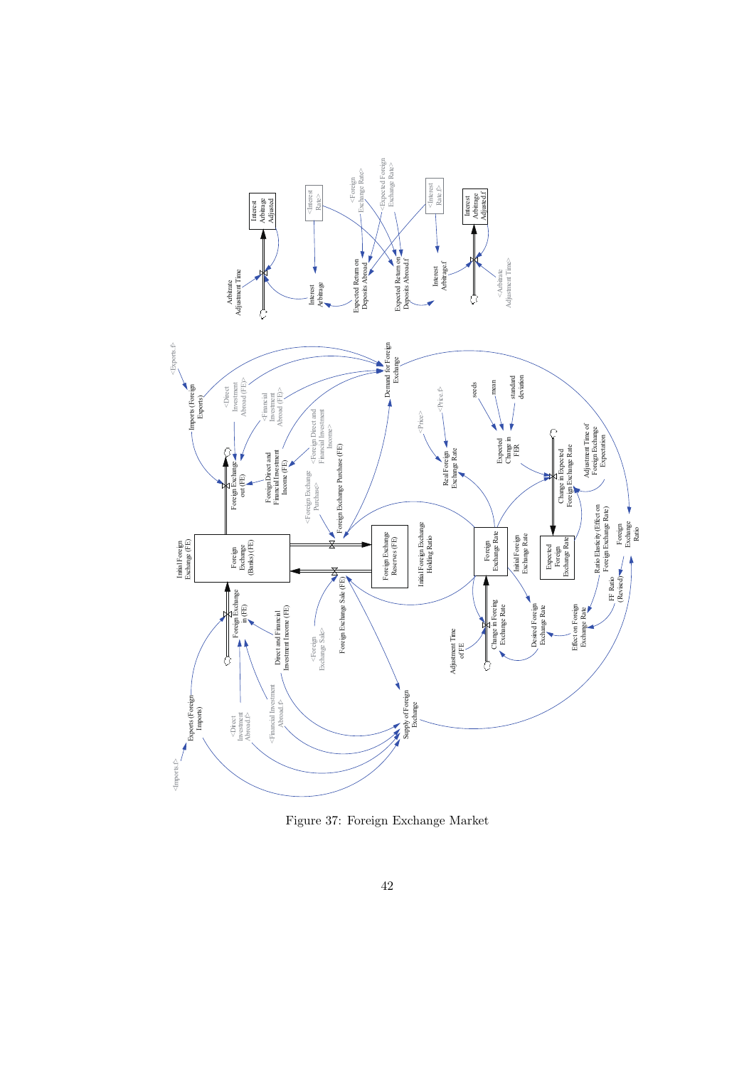

Figure 37: Foreign Exchange Market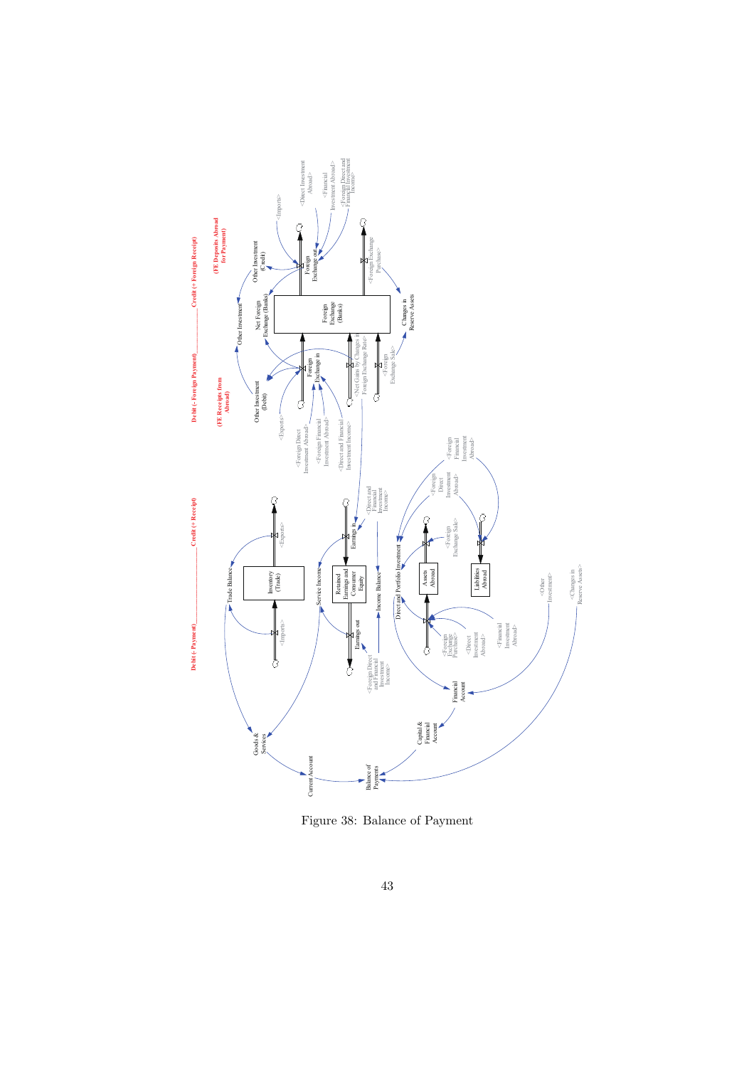

Figure 38: Balance of Payment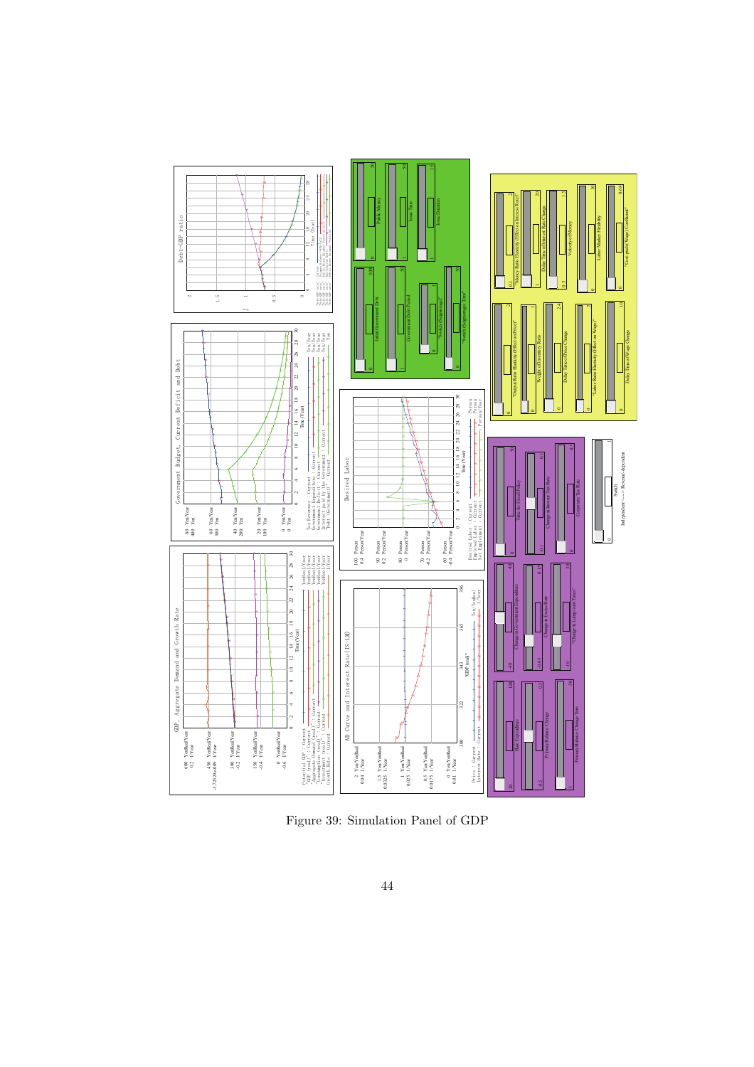

Figure 39: Simulation Panel of GDP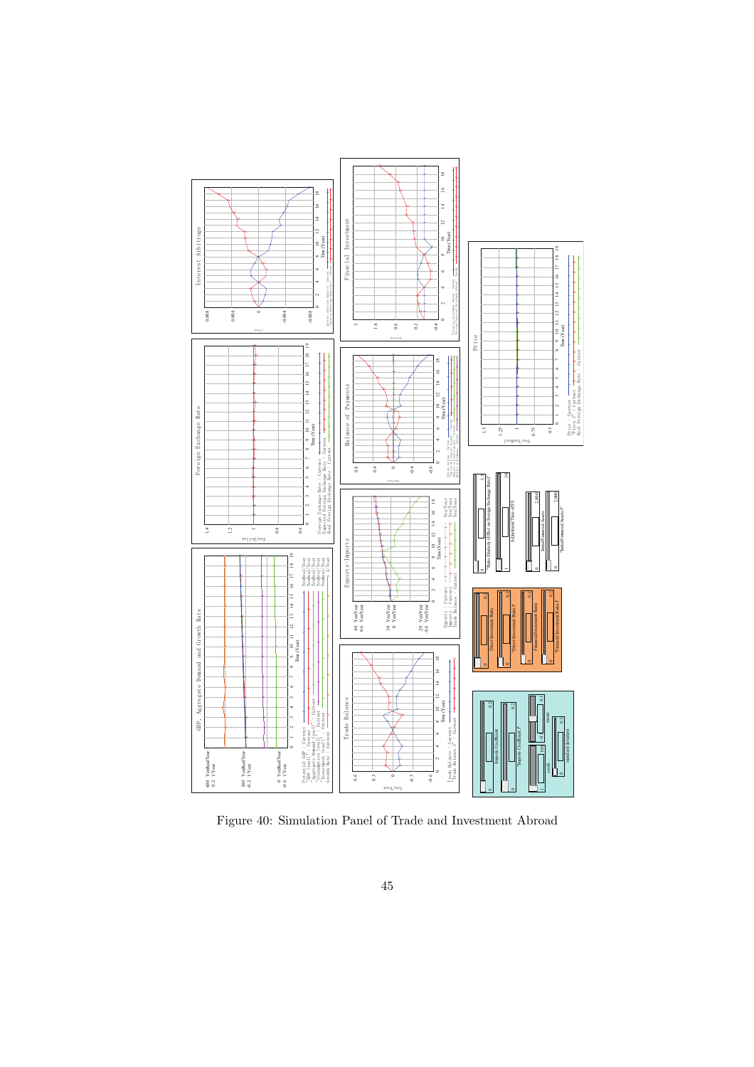

Figure 40: Simulation Panel of Trade and Investment Abroad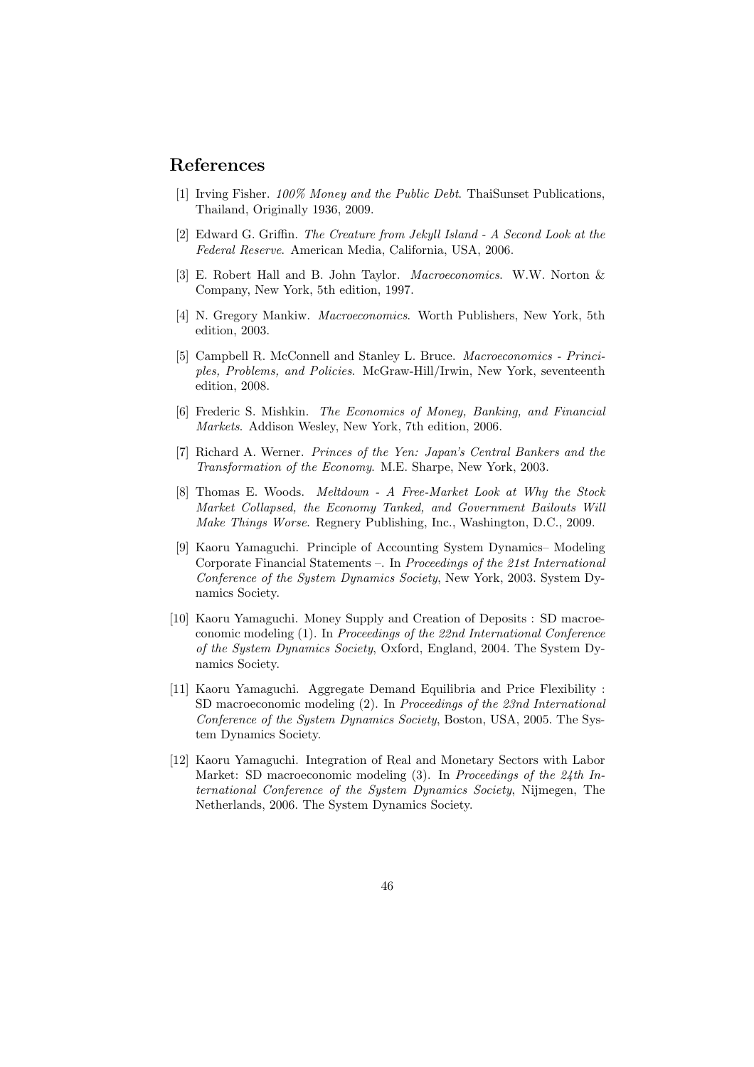## **References**

- [1] Irving Fisher. *100% Money and the Public Debt*. ThaiSunset Publications, Thailand, Originally 1936, 2009.
- [2] Edward G. Griffin. *The Creature from Jekyll Island A Second Look at the Federal Reserve*. American Media, California, USA, 2006.
- [3] E. Robert Hall and B. John Taylor. *Macroeconomics*. W.W. Norton & Company, New York, 5th edition, 1997.
- [4] N. Gregory Mankiw. *Macroeconomics*. Worth Publishers, New York, 5th edition, 2003.
- [5] Campbell R. McConnell and Stanley L. Bruce. *Macroeconomics Principles, Problems, and Policies*. McGraw-Hill/Irwin, New York, seventeenth edition, 2008.
- [6] Frederic S. Mishkin. *The Economics of Money, Banking, and Financial Markets*. Addison Wesley, New York, 7th edition, 2006.
- [7] Richard A. Werner. *Princes of the Yen: Japan's Central Bankers and the Transformation of the Economy*. M.E. Sharpe, New York, 2003.
- [8] Thomas E. Woods. *Meltdown A Free-Market Look at Why the Stock Market Collapsed, the Economy Tanked, and Government Bailouts Will Make Things Worse*. Regnery Publishing, Inc., Washington, D.C., 2009.
- [9] Kaoru Yamaguchi. Principle of Accounting System Dynamics– Modeling Corporate Financial Statements –. In *Proceedings of the 21st International Conference of the System Dynamics Society*, New York, 2003. System Dynamics Society.
- [10] Kaoru Yamaguchi. Money Supply and Creation of Deposits : SD macroeconomic modeling (1). In *Proceedings of the 22nd International Conference of the System Dynamics Society*, Oxford, England, 2004. The System Dynamics Society.
- [11] Kaoru Yamaguchi. Aggregate Demand Equilibria and Price Flexibility : SD macroeconomic modeling (2). In *Proceedings of the 23nd International Conference of the System Dynamics Society*, Boston, USA, 2005. The System Dynamics Society.
- [12] Kaoru Yamaguchi. Integration of Real and Monetary Sectors with Labor Market: SD macroeconomic modeling (3). In *Proceedings of the 24th International Conference of the System Dynamics Society*, Nijmegen, The Netherlands, 2006. The System Dynamics Society.